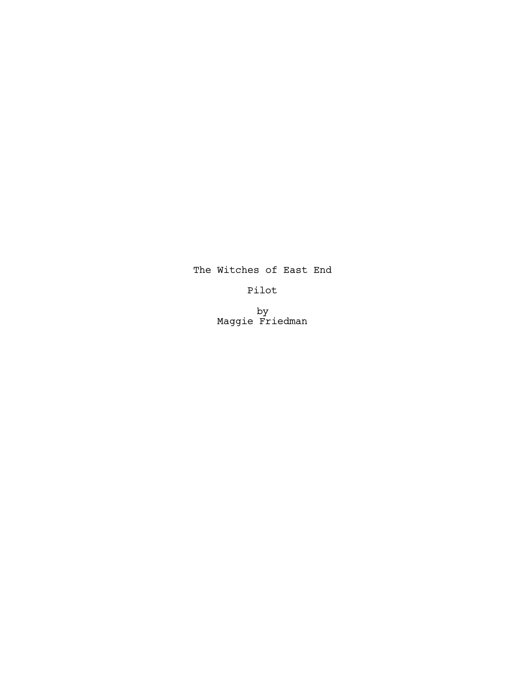# The Witches of East End

# Pilot

by Maggie Friedman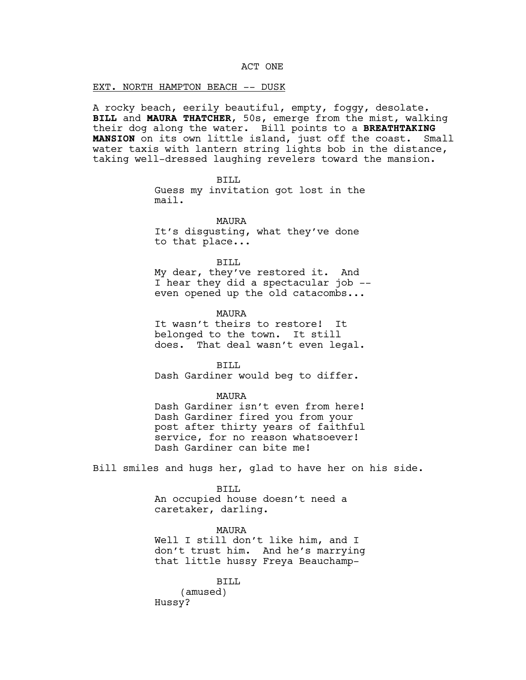### ACT ONE

### EXT. NORTH HAMPTON BEACH -- DUSK

A rocky beach, eerily beautiful, empty, foggy, desolate. **BILL** and **MAURA THATCHER**, 50s, emerge from the mist, walking their dog along the water. Bill points to a **BREATHTAKING MANSION** on its own little island, just off the coast. Small water taxis with lantern string lights bob in the distance, taking well-dressed laughing revelers toward the mansion.

> BILL Guess my invitation got lost in the mail.

MAURA It's disgusting, what they've done to that place...

BILL

My dear, they've restored it. And I hear they did a spectacular job - even opened up the old catacombs...

MAURA It wasn't theirs to restore! It belonged to the town. It still does. That deal wasn't even legal.

BTLL Dash Gardiner would beg to differ.

MAURA

Dash Gardiner isn't even from here! Dash Gardiner fired you from your post after thirty years of faithful service, for no reason whatsoever! Dash Gardiner can bite me!

Bill smiles and hugs her, glad to have her on his side.

BTLL An occupied house doesn't need a caretaker, darling.

MAURA Well I still don't like him, and I don't trust him. And he's marrying that little hussy Freya Beauchamp-

BILL (amused) Hussy?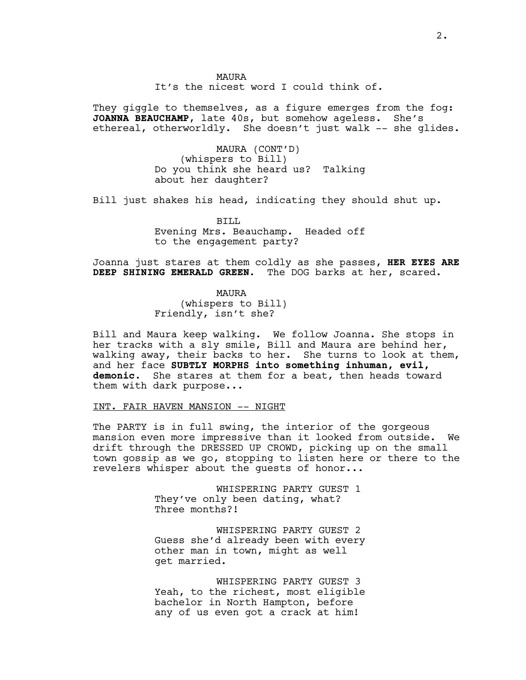It's the nicest word I could think of.

They giggle to themselves, as a figure emerges from the fog: **JOANNA BEAUCHAMP**, late 40s, but somehow ageless. She's ethereal, otherworldly. She doesn't just walk -- she glides.

> MAURA (CONT'D) (whispers to Bill) Do you think she heard us? Talking about her daughter?

Bill just shakes his head, indicating they should shut up.

BILL Evening Mrs. Beauchamp. Headed off to the engagement party?

Joanna just stares at them coldly as she passes, **HER EYES ARE DEEP SHINING EMERALD GREEN**. The DOG barks at her, scared.

> MAURA (whispers to Bill) Friendly, isn't she?

Bill and Maura keep walking. We follow Joanna. She stops in her tracks with a sly smile, Bill and Maura are behind her, walking away, their backs to her. She turns to look at them, and her face **SUBTLY MORPHS into something inhuman, evil, demonic**. She stares at them for a beat, then heads toward them with dark purpose...

# INT. FAIR HAVEN MANSION -- NIGHT

The PARTY is in full swing, the interior of the gorgeous mansion even more impressive than it looked from outside. We drift through the DRESSED UP CROWD, picking up on the small town gossip as we go, stopping to listen here or there to the revelers whisper about the guests of honor...

> WHISPERING PARTY GUEST 1 They've only been dating, what? Three months?!

WHISPERING PARTY GUEST 2 Guess she'd already been with every other man in town, might as well get married.

WHISPERING PARTY GUEST 3 Yeah, to the richest, most eligible bachelor in North Hampton, before any of us even got a crack at him!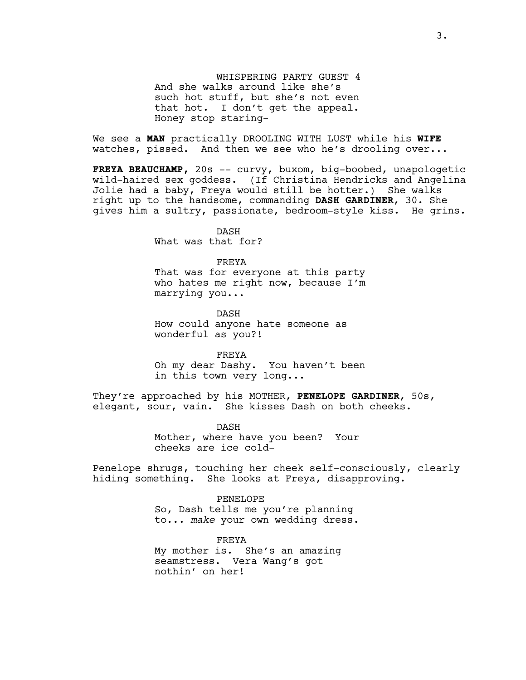WHISPERING PARTY GUEST 4 And she walks around like she's such hot stuff, but she's not even that hot. I don't get the appeal. Honey stop staring-

We see a **MAN** practically DROOLING WITH LUST while his **WIFE**  watches, pissed. And then we see who he's drooling over...

**FREYA BEAUCHAMP,** 20s -- curvy, buxom, big-boobed, unapologetic wild-haired sex goddess. (If Christina Hendricks and Angelina Jolie had a baby, Freya would still be hotter.) She walks right up to the handsome, commanding **DASH GARDINER**, 30. She gives him a sultry, passionate, bedroom-style kiss. He grins.

> DASH What was that for?

FREYA That was for everyone at this party who hates me right now, because I'm marrying you...

DASH How could anyone hate someone as wonderful as you?!

FREYA

Oh my dear Dashy. You haven't been in this town very long...

They're approached by his MOTHER, **PENELOPE GARDINER**, 50s, elegant, sour, vain. She kisses Dash on both cheeks.

> DASH Mother, where have you been? Your cheeks are ice cold-

Penelope shrugs, touching her cheek self-consciously, clearly hiding something. She looks at Freya, disapproving.

> PENELOPE So, Dash tells me you're planning to... *make* your own wedding dress.

FREYA My mother is. She's an amazing seamstress. Vera Wang's got nothin' on her!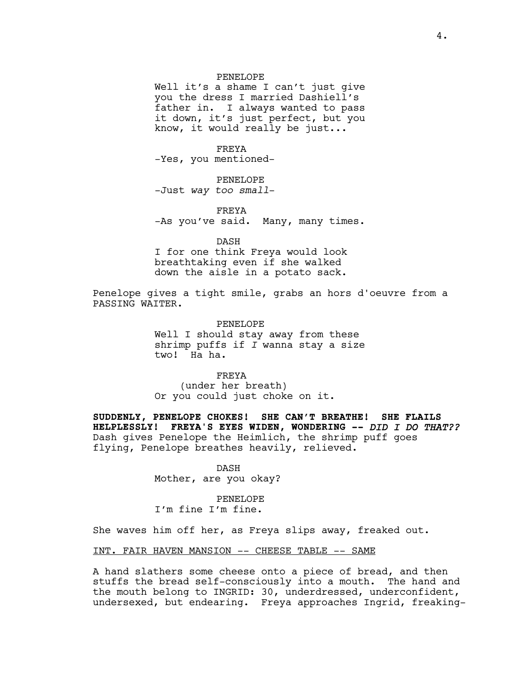#### PENELOPE

Well it's a shame I can't just give you the dress I married Dashiell's father in. I always wanted to pass it down, it's just perfect, but you know, it would really be just...

FREYA -Yes, you mentioned-

PENELOPE -Just *way too small*-

FREYA -As you've said. Many, many times.

DASH I for one think Freya would look breathtaking even if she walked down the aisle in a potato sack.

Penelope gives a tight smile, grabs an hors d'oeuvre from a PASSING WAITER.

> PENELOPE Well I should stay away from these shrimp puffs if *I* wanna stay a size two! Ha ha.

FREYA (under her breath) Or you could just choke on it.

**SUDDENLY, PENELOPE CHOKES! SHE CAN'T BREATHE! SHE FLAILS HELPLESSLY! FREYA'S EYES WIDEN, WONDERING --** *DID I DO THAT??* Dash gives Penelope the Heimlich, the shrimp puff goes flying, Penelope breathes heavily, relieved.

> DASH Mother, are you okay?

PENELOPE I'm fine I'm fine.

She waves him off her, as Freya slips away, freaked out.

INT. FAIR HAVEN MANSION –- CHEESE TABLE –- SAME

A hand slathers some cheese onto a piece of bread, and then stuffs the bread self-consciously into a mouth. The hand and the mouth belong to INGRID: 30, underdressed, underconfident, undersexed, but endearing. Freya approaches Ingrid, freaking-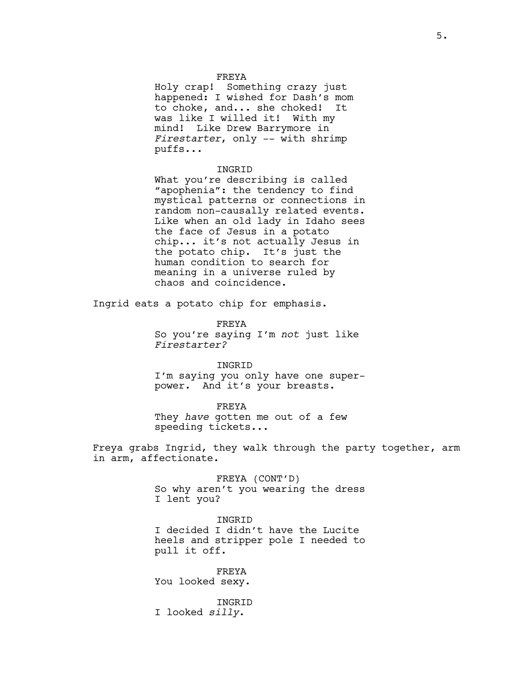#### FREYA

Holy crap! Something crazy just happened: I wished for Dash's mom to choke, and... she choked! It was like I willed it! With my mind! Like Drew Barrymore in *Firestarter*, only -- with shrimp puffs...

### INGRID

What you're describing is called "apophenia": the tendency to find mystical patterns or connections in random non-causally related events. Like when an old lady in Idaho sees the face of Jesus in a potato chip... it's not actually Jesus in the potato chip. It's just the human condition to search for meaning in a universe ruled by chaos and coincidence.

Ingrid eats a potato chip for emphasis.

FREYA So you're saying I'm *not* just like *Firestarter?*

INGRID I'm saying you only have one superpower. And it's your breasts.

FREYA

They *have* gotten me out of a few speeding tickets...

Freya grabs Ingrid, they walk through the party together, arm in arm, affectionate.

> FREYA (CONT'D) So why aren't you wearing the dress I lent you?

> INGRID I decided I didn't have the Lucite heels and stripper pole I needed to pull it off.

FREYA You looked sexy.

INGRID I looked *silly*.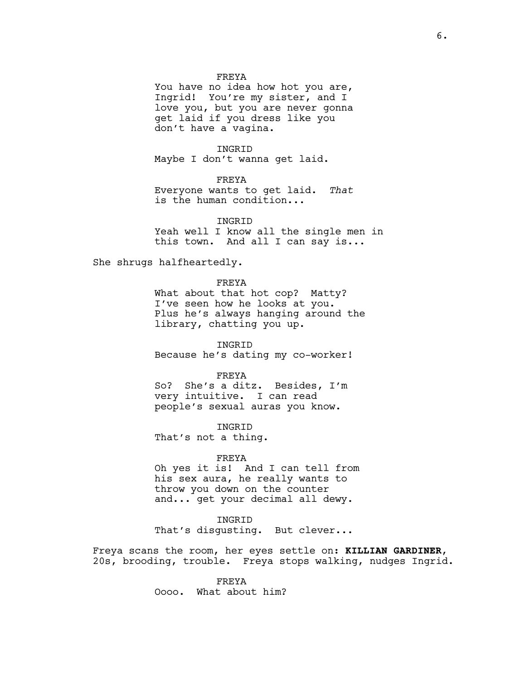### FREYA

You have no idea how hot you are, Ingrid! You're my sister, and I love you, but you are never gonna get laid if you dress like you don't have a vagina.

# INGRID

Maybe I don't wanna get laid.

# FREYA

Everyone wants to get laid. *That* is the human condition...

INGRID Yeah well I know all the single men in this town. And all I can say is...

She shrugs halfheartedly.

FREYA What about that hot cop? Matty? I've seen how he looks at you. Plus he's always hanging around the library, chatting you up.

INGRID Because he's dating my co-worker!

FREYA

So? She's a ditz. Besides, I'm very intuitive. I can read people's sexual auras you know.

INGRID That's not a thing.

### FREYA

Oh yes it is! And I can tell from his sex aura, he really wants to throw you down on the counter and... get your decimal all dewy.

# INGRID

That's disgusting. But clever...

Freya scans the room, her eyes settle on: **KILLIAN GARDINER**, 20s, brooding, trouble. Freya stops walking, nudges Ingrid.

> FREYA Oooo. What about him?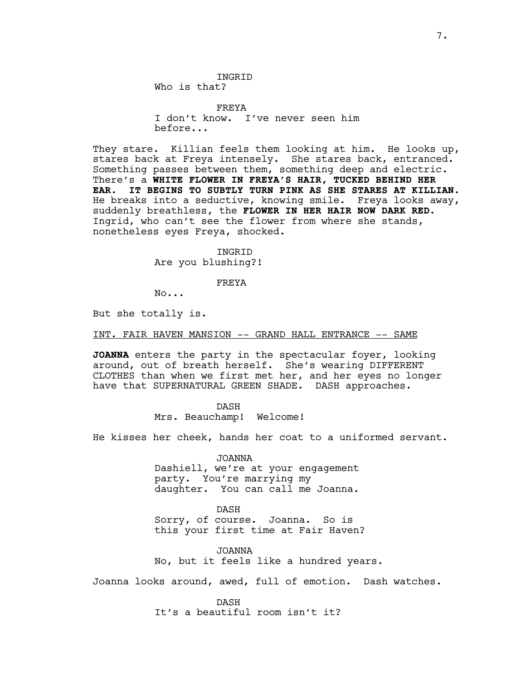FREYA I don't know. I've never seen him before...

They stare. Killian feels them looking at him. He looks up, stares back at Freya intensely. She stares back, entranced. Something passes between them, something deep and electric. There's a **WHITE FLOWER IN FREYA'S HAIR, TUCKED BEHIND HER EAR. IT BEGINS TO SUBTLY TURN PINK AS SHE STARES AT KILLIAN.**  He breaks into a seductive, knowing smile. Freya looks away, suddenly breathless, the **FLOWER IN HER HAIR NOW DARK RED**. Ingrid, who can't see the flower from where she stands, nonetheless eyes Freya, shocked.

> INGRID Are you blushing?!

> > FREYA

No...

But she totally is.

INT. FAIR HAVEN MANSION -- GRAND HALL ENTRANCE -- SAME

**JOANNA** enters the party in the spectacular foyer, looking around, out of breath herself. She's wearing DIFFERENT CLOTHES than when we first met her, and her eyes no longer have that SUPERNATURAL GREEN SHADE. DASH approaches.

> DASH Mrs. Beauchamp! Welcome!

He kisses her cheek, hands her coat to a uniformed servant.

JOANNA Dashiell, we're at your engagement party. You're marrying my daughter. You can call me Joanna.

DASH Sorry, of course. Joanna. So is this your first time at Fair Haven?

JOANNA No, but it feels like a hundred years.

Joanna looks around, awed, full of emotion. Dash watches.

DASH It's a beautiful room isn't it?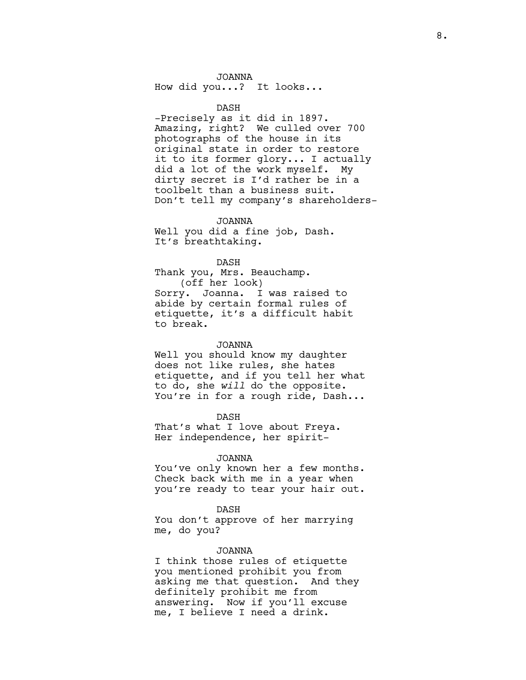JOANNA How did you...? It looks...

DASH

-Precisely as it did in 1897. Amazing, right? We culled over 700 photographs of the house in its original state in order to restore it to its former glory... I actually did a lot of the work myself. My dirty secret is I'd rather be in a toolbelt than a business suit. Don't tell my company's shareholders-

JOANNA Well you did a fine job, Dash. It's breathtaking.

DASH Thank you, Mrs. Beauchamp. (off her look) Sorry. Joanna. I was raised to abide by certain formal rules of etiquette, it's a difficult habit to break.

#### JOANNA

Well you should know my daughter does not like rules, she hates etiquette, and if you tell her what to do, she *will* do the opposite. You're in for a rough ride, Dash...

DASH That's what I love about Freya. Her independence, her spirit-

### JOANNA

You've only known her a few months. Check back with me in a year when you're ready to tear your hair out.

#### DASH

You don't approve of her marrying me, do you?

### JOANNA

I think those rules of etiquette you mentioned prohibit you from asking me that question. And they definitely prohibit me from answering. Now if you'll excuse me, I believe I need a drink.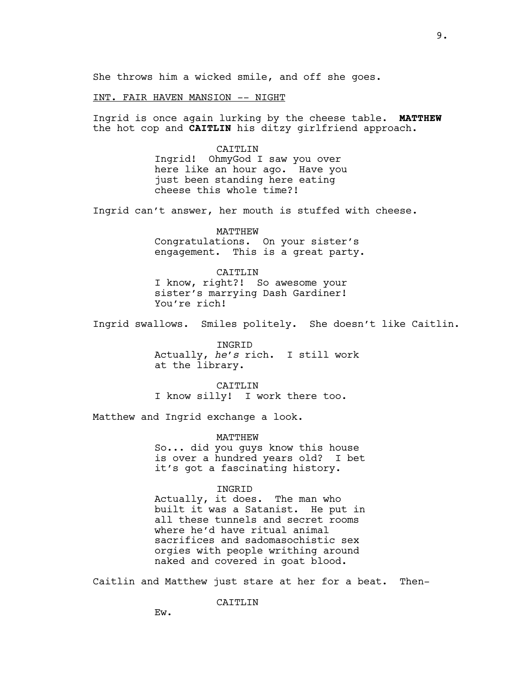She throws him a wicked smile, and off she goes.

### INT. FAIR HAVEN MANSION -- NIGHT

Ingrid is once again lurking by the cheese table. **MATTHEW** the hot cop and **CAITLIN** his ditzy girlfriend approach.

> CAITLIN Ingrid! OhmyGod I saw you over here like an hour ago. Have you just been standing here eating cheese this whole time?!

Ingrid can't answer, her mouth is stuffed with cheese.

MATTHEW Congratulations. On your sister's engagement. This is a great party.

CAITLIN I know, right?! So awesome your sister's marrying Dash Gardiner! You're rich!

Ingrid swallows. Smiles politely. She doesn't like Caitlin.

INGRID Actually, *he's* rich. I still work at the library.

CAITLIN I know silly! I work there too.

Matthew and Ingrid exchange a look.

MATTHEW

So... did you guys know this house is over a hundred years old? I bet it's got a fascinating history.

### INGRID

Actually, it does. The man who built it was a Satanist. He put in all these tunnels and secret rooms where he'd have ritual animal sacrifices and sadomasochistic sex orgies with people writhing around naked and covered in goat blood.

Caitlin and Matthew just stare at her for a beat. Then-

CAITLIN

Ew.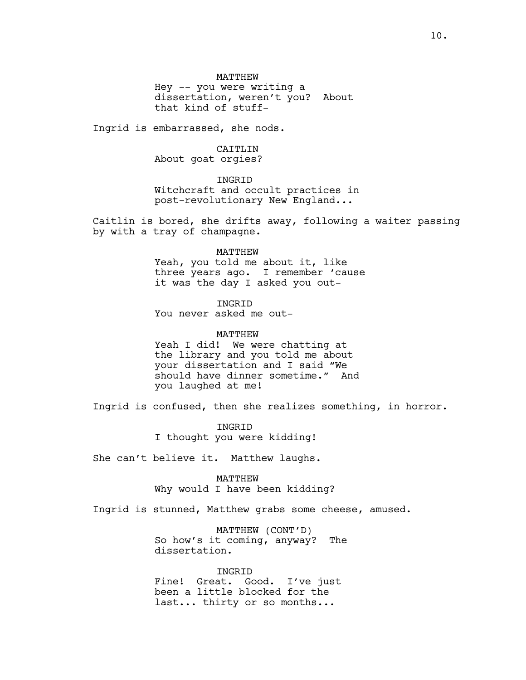MATTHEW

Hey -- you were writing a dissertation, weren't you? About that kind of stuff-

Ingrid is embarrassed, she nods.

# CAITLIN

About goat orgies?

# INGRID

Witchcraft and occult practices in post-revolutionary New England...

Caitlin is bored, she drifts away, following a waiter passing by with a tray of champagne.

#### MATTHEW

Yeah, you told me about it, like three years ago. I remember 'cause it was the day I asked you out-

INGRID You never asked me out-

### MATTHEW

Yeah I did! We were chatting at the library and you told me about your dissertation and I said "We should have dinner sometime." And you laughed at me!

Ingrid is confused, then she realizes something, in horror.

**INGRID** I thought you were kidding!

She can't believe it. Matthew laughs.

MATTHEW Why would I have been kidding?

Ingrid is stunned, Matthew grabs some cheese, amused.

MATTHEW (CONT'D) So how's it coming, anyway? The dissertation.

INGRID Fine! Great. Good. I've just been a little blocked for the last... thirty or so months...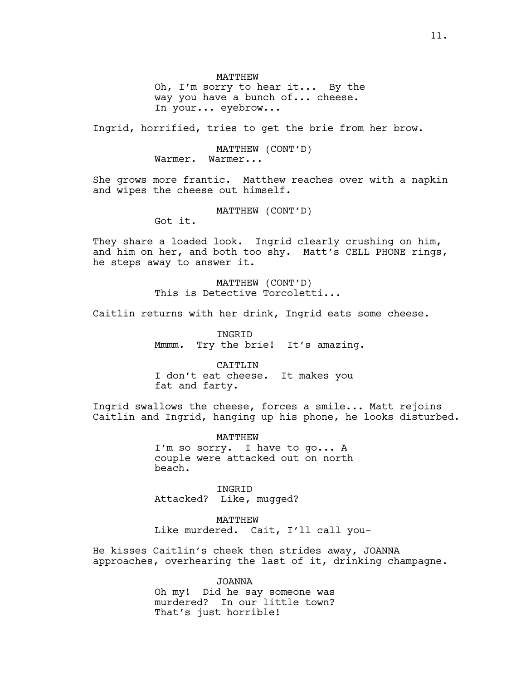MATTHEW Oh, I'm sorry to hear it... By the way you have a bunch of... cheese. In your... eyebrow...

Ingrid, horrified, tries to get the brie from her brow.

MATTHEW (CONT'D) Warmer. Warmer...

She grows more frantic. Matthew reaches over with a napkin and wipes the cheese out himself.

MATTHEW (CONT'D)

Got it.

They share a loaded look. Ingrid clearly crushing on him, and him on her, and both too shy. Matt's CELL PHONE rings, he steps away to answer it.

> MATTHEW (CONT'D) This is Detective Torcoletti...

Caitlin returns with her drink, Ingrid eats some cheese.

INGRID Mmmm. Try the brie! It's amazing.

CATTLIN I don't eat cheese. It makes you fat and farty.

Ingrid swallows the cheese, forces a smile... Matt rejoins Caitlin and Ingrid, hanging up his phone, he looks disturbed.

> MATTHEW I'm so sorry. I have to go... A couple were attacked out on north beach.

INGRID Attacked? Like, mugged?

MATTHEW Like murdered. Cait, I'll call you-

He kisses Caitlin's cheek then strides away, JOANNA approaches, overhearing the last of it, drinking champagne.

> JOANNA Oh my! Did he say someone was murdered? In our little town? That's just horrible!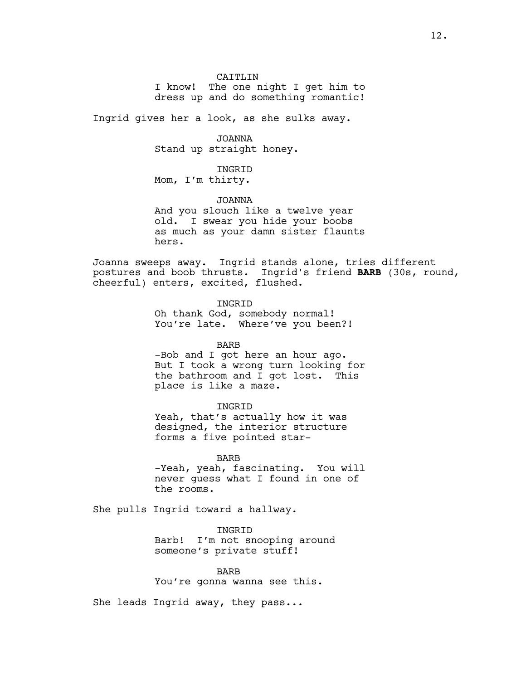CAITLIN I know! The one night I get him to dress up and do something romantic!

Ingrid gives her a look, as she sulks away.

JOANNA Stand up straight honey.

INGRID Mom, I'm thirty.

JOANNA And you slouch like a twelve year old. I swear you hide your boobs as much as your damn sister flaunts hers.

Joanna sweeps away. Ingrid stands alone, tries different postures and boob thrusts. Ingrid's friend **BARB** (30s, round, cheerful) enters, excited, flushed.

> INGRID Oh thank God, somebody normal! You're late. Where've you been?!

BARB -Bob and I got here an hour ago.

But I took a wrong turn looking for the bathroom and I got lost. This place is like a maze.

INGRID

Yeah, that's actually how it was designed, the interior structure forms a five pointed star-

BARB -Yeah, yeah, fascinating. You will never guess what I found in one of the rooms.

She pulls Ingrid toward a hallway.

INGRID Barb! I'm not snooping around someone's private stuff!

BARB You're gonna wanna see this.

She leads Ingrid away, they pass...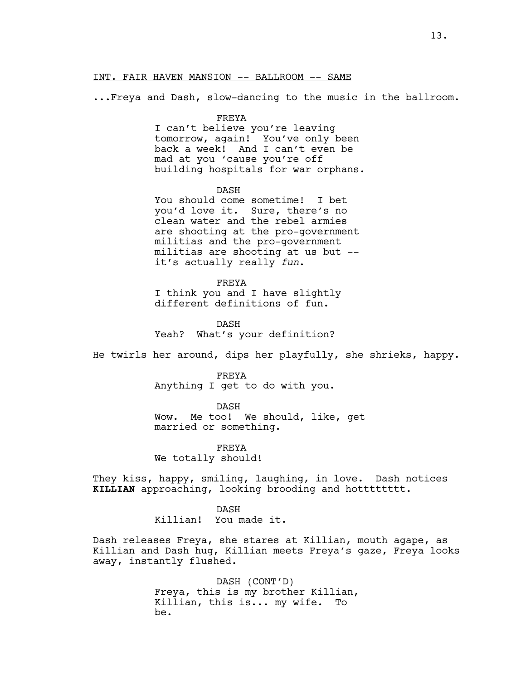### INT. FAIR HAVEN MANSION -- BALLROOM -- SAME

...Freya and Dash, slow-dancing to the music in the ballroom.

### FREYA

I can't believe you're leaving tomorrow, again! You've only been back a week! And I can't even be mad at you 'cause you're off building hospitals for war orphans.

### DASH

You should come sometime! I bet you'd love it. Sure, there's no clean water and the rebel armies are shooting at the pro-government militias and the pro-government militias are shooting at us but - it's actually really *fun*.

#### FREYA

I think you and I have slightly different definitions of fun.

DASH Yeah? What's your definition?

He twirls her around, dips her playfully, she shrieks, happy.

#### FREYA

Anything I get to do with you.

DASH

Wow. Me too! We should, like, get married or something.

FREYA We totally should!

They kiss, happy, smiling, laughing, in love. Dash notices **KILLIAN** approaching, looking brooding and hotttttttt.

### DASH

Killian! You made it.

Dash releases Freya, she stares at Killian, mouth agape, as Killian and Dash hug, Killian meets Freya's gaze, Freya looks away, instantly flushed.

> DASH (CONT'D) Freya, this is my brother Killian, Killian, this is... my wife. To be.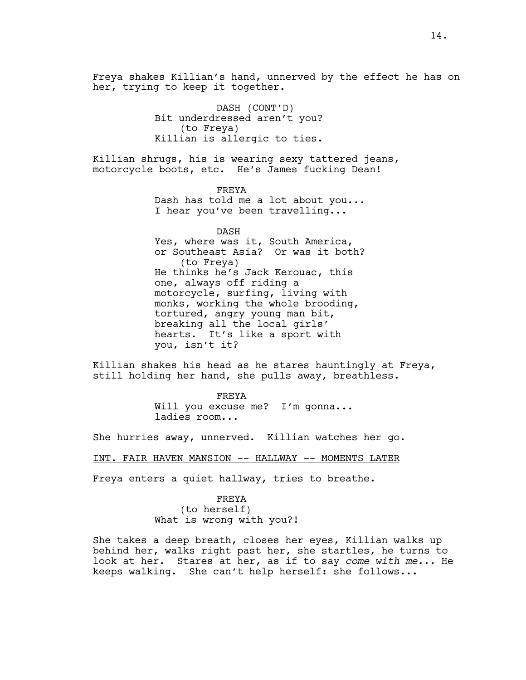Freya shakes Killian's hand, unnerved by the effect he has on her, trying to keep it together.

> DASH (CONT'D) Bit underdressed aren't you? (to Freya) Killian is allergic to ties.

Killian shrugs, his is wearing sexy tattered jeans, motorcycle boots, etc. He's James fucking Dean!

> FREYA Dash has told me a lot about you... I hear you've been travelling...

DASH Yes, where was it, South America, or Southeast Asia? Or was it both? (to Freya) He thinks he's Jack Kerouac, this one, always off riding a motorcycle, surfing, living with monks, working the whole brooding, tortured, angry young man bit, breaking all the local girls' hearts. It's like a sport with you, isn't it?

Killian shakes his head as he stares hauntingly at Freya, still holding her hand, she pulls away, breathless.

> FREYA Will you excuse me? I'm gonna... ladies room...

She hurries away, unnerved. Killian watches her go.

INT. FAIR HAVEN MANSION -- HALLWAY -- MOMENTS LATER

Freya enters a quiet hallway, tries to breathe.

# FREYA (to herself) What is wrong with you?!

She takes a deep breath, closes her eyes, Killian walks up behind her, walks right past her, she startles, he turns to look at her. Stares at her, as if to say *come with me...* He keeps walking. She can't help herself: she follows...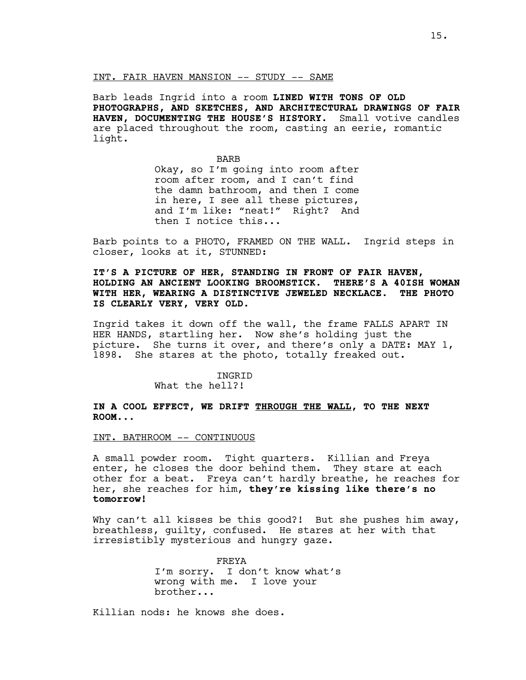### INT. FAIR HAVEN MANSION -- STUDY -- SAME

Barb leads Ingrid into a room **LINED WITH TONS OF OLD PHOTOGRAPHS, AND SKETCHES, AND ARCHITECTURAL DRAWINGS OF FAIR HAVEN, DOCUMENTING THE HOUSE'S HISTORY**. Small votive candles are placed throughout the room, casting an eerie, romantic light.

> BARB Okay, so I'm going into room after room after room, and I can't find the damn bathroom, and then I come in here, I see all these pictures, and I'm like: "neat!" Right? And then I notice this...

Barb points to a PHOTO, FRAMED ON THE WALL. Ingrid steps in closer, looks at it, STUNNED:

**IT'S A PICTURE OF HER, STANDING IN FRONT OF FAIR HAVEN, HOLDING AN ANCIENT LOOKING BROOMSTICK. THERE'S A 40ISH WOMAN WITH HER, WEARING A DISTINCTIVE JEWELED NECKLACE. THE PHOTO IS CLEARLY VERY, VERY OLD.**

Ingrid takes it down off the wall, the frame FALLS APART IN HER HANDS, startling her. Now she's holding just the picture. She turns it over, and there's only a DATE: MAY 1, 1898. She stares at the photo, totally freaked out.

# **INGRID**

What the hell?!

**IN A COOL EFFECT, WE DRIFT THROUGH THE WALL, TO THE NEXT ROOM...**

#### INT. BATHROOM -- CONTINUOUS

A small powder room. Tight quarters. Killian and Freya enter, he closes the door behind them. They stare at each other for a beat. Freya can't hardly breathe, he reaches for her, she reaches for him, **they're kissing like there's no tomorrow!**

Why can't all kisses be this good?! But she pushes him away, breathless, guilty, confused. He stares at her with that irresistibly mysterious and hungry gaze.

> FREYA I'm sorry. I don't know what's wrong with me. I love your brother...

Killian nods: he knows she does.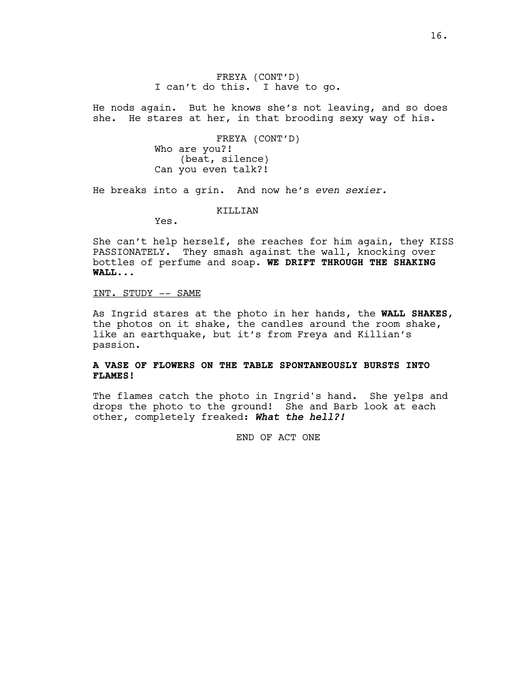FREYA (CONT'D) I can't do this. I have to go.

He nods again. But he knows she's not leaving, and so does she. He stares at her, in that brooding sexy way of his.

> FREYA (CONT'D) Who are you?! (beat, silence) Can you even talk?!

He breaks into a grin. And now he's *even sexier.*

KILLIAN

Yes.

She can't help herself, she reaches for him again, they KISS PASSIONATELY. They smash against the wall, knocking over bottles of perfume and soap. **WE DRIFT THROUGH THE SHAKING WALL...**

# INT. STUDY -- SAME

As Ingrid stares at the photo in her hands, the **WALL SHAKES**, the photos on it shake, the candles around the room shake, like an earthquake, but it's from Freya and Killian's passion.

# **A VASE OF FLOWERS ON THE TABLE SPONTANEOUSLY BURSTS INTO FLAMES!**

The flames catch the photo in Ingrid's hand. She yelps and drops the photo to the ground! She and Barb look at each other, completely freaked: *What the hell?!*

END OF ACT ONE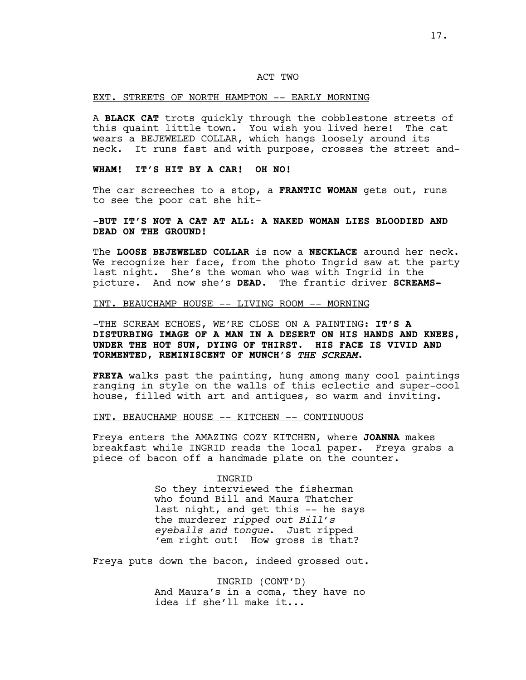# ACT TWO

#### EXT. STREETS OF NORTH HAMPTON -- EARLY MORNING

A **BLACK CAT** trots quickly through the cobblestone streets of this quaint little town. You wish you lived here! The cat wears a BEJEWELED COLLAR, which hangs loosely around its neck. It runs fast and with purpose, crosses the street and-

# **WHAM! IT'S HIT BY A CAR! OH NO!**

The car screeches to a stop, a **FRANTIC WOMAN** gets out, runs to see the poor cat she hit-

# -**BUT IT'S NOT A CAT AT ALL: A NAKED WOMAN LIES BLOODIED AND DEAD ON THE GROUND!**

The **LOOSE BEJEWELED COLLAR** is now a **NECKLACE** around her neck. We recognize her face, from the photo Ingrid saw at the party last night. She's the woman who was with Ingrid in the picture. And now she's **DEAD**. The frantic driver **SCREAMS-**

# INT. BEAUCHAMP HOUSE -- LIVING ROOM -- MORNING

-THE SCREAM ECHOES, WE'RE CLOSE ON A PAINTING: **IT'S A DISTURBING IMAGE OF A MAN IN A DESERT ON HIS HANDS AND KNEES, UNDER THE HOT SUN, DYING OF THIRST. HIS FACE IS VIVID AND TORMENTED, REMINISCENT OF MUNCH'S** *THE SCREAM***.** 

**FREYA** walks past the painting, hung among many cool paintings ranging in style on the walls of this eclectic and super-cool house, filled with art and antiques, so warm and inviting.

# INT. BEAUCHAMP HOUSE -- KITCHEN -- CONTINUOUS

Freya enters the AMAZING COZY KITCHEN, where **JOANNA** makes breakfast while INGRID reads the local paper. Freya grabs a piece of bacon off a handmade plate on the counter.

### INGRID

So they interviewed the fisherman who found Bill and Maura Thatcher last night, and get this -- he says the murderer *ripped out Bill's eyeballs and tongue*. Just ripped 'em right out! How gross is that?

Freya puts down the bacon, indeed grossed out.

INGRID (CONT'D) And Maura's in a coma, they have no idea if she'll make it...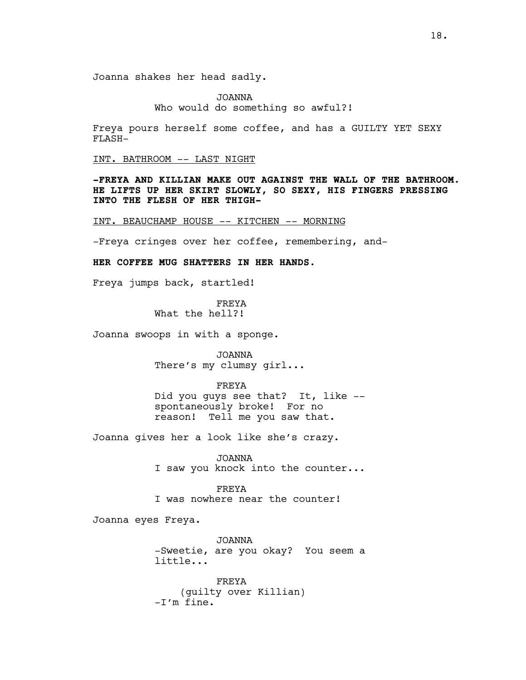Joanna shakes her head sadly.

JOANNA Who would do something so awful?!

Freya pours herself some coffee, and has a GUILTY YET SEXY FLASH-

INT. BATHROOM -- LAST NIGHT

**-FREYA AND KILLIAN MAKE OUT AGAINST THE WALL OF THE BATHROOM. HE LIFTS UP HER SKIRT SLOWLY, SO SEXY, HIS FINGERS PRESSING INTO THE FLESH OF HER THIGH-**

INT. BEAUCHAMP HOUSE -- KITCHEN -- MORNING

-Freya cringes over her coffee, remembering, and-

# **HER COFFEE MUG SHATTERS IN HER HANDS.**

Freya jumps back, startled!

FREYA What the hell?!

Joanna swoops in with a sponge.

JOANNA There's my clumsy girl...

FREYA

Did you guys see that? It, like - spontaneously broke! For no reason! Tell me you saw that.

Joanna gives her a look like she's crazy.

JOANNA I saw you knock into the counter...

FREYA I was nowhere near the counter!

Joanna eyes Freya.

JOANNA -Sweetie, are you okay? You seem a little...

FREYA (guilty over Killian) -I'm fine.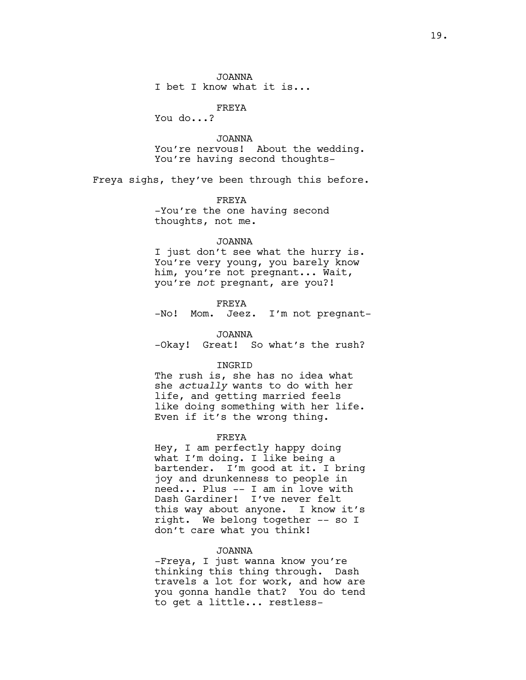JOANNA I bet I know what it is...

FREYA

You do...?

JOANNA You're nervous! About the wedding. You're having second thoughts-

Freya sighs, they've been through this before.

FREYA -You're the one having second thoughts, not me.

### JOANNA

I just don't see what the hurry is. You're very young, you barely know him, you're not pregnant... Wait, you're *not* pregnant, are you?!

FREYA

-No! Mom. Jeez. I'm not pregnant-

JOANNA

-Okay! Great! So what's the rush?

# INGRID

The rush is, she has no idea what she *actually* wants to do with her life, and getting married feels like doing something with her life. Even if it's the wrong thing.

### FREYA

Hey, I am perfectly happy doing what I'm doing. I like being a bartender. I'm good at it. I bring joy and drunkenness to people in need... Plus -- I am in love with Dash Gardiner! I've never felt this way about anyone. I know it's right. We belong together -- so I don't care what you think!

### JOANNA

-Freya, I just wanna know you're thinking this thing through. Dash travels a lot for work, and how are you gonna handle that? You do tend to get a little... restless-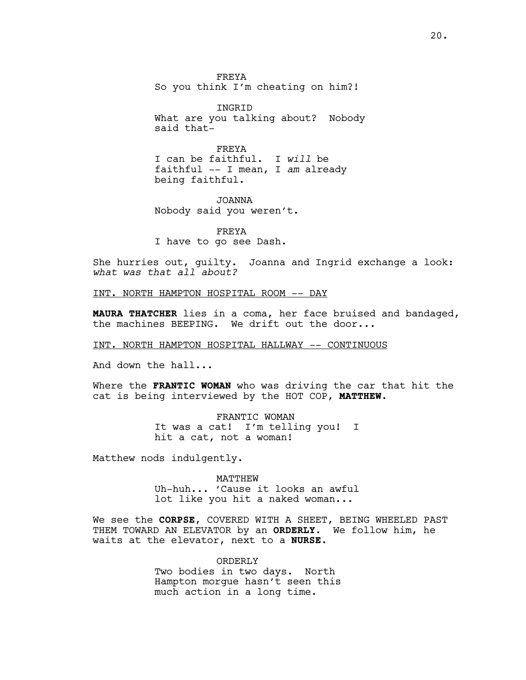FREYA So you think I'm cheating on him?!

INGRID What are you talking about? Nobody said that-

FREYA I can be faithful. I *will* be faithful -- I mean, I *am* already being faithful.

JOANNA Nobody said you weren't.

FREYA I have to go see Dash.

She hurries out, guilty. Joanna and Ingrid exchange a look: *what was that all about?* 

INT. NORTH HAMPTON HOSPITAL ROOM -- DAY

**MAURA THATCHER** lies in a coma, her face bruised and bandaged, the machines BEEPING. We drift out the door...

INT. NORTH HAMPTON HOSPITAL HALLWAY -- CONTINUOUS

And down the hall...

Where the **FRANTIC WOMAN** who was driving the car that hit the cat is being interviewed by the HOT COP, **MATTHEW**.

> FRANTIC WOMAN It was a cat! I'm telling you! I hit a cat, not a woman!

Matthew nods indulgently.

MATTHEW Uh-huh... 'Cause it looks an awful lot like you hit a naked woman...

We see the **CORPSE**, COVERED WITH A SHEET, BEING WHEELED PAST THEM TOWARD AN ELEVATOR by an **ORDERLY**. We follow him, he waits at the elevator, next to a **NURSE.**

> ORDERLY Two bodies in two days. North Hampton morgue hasn't seen this much action in a long time.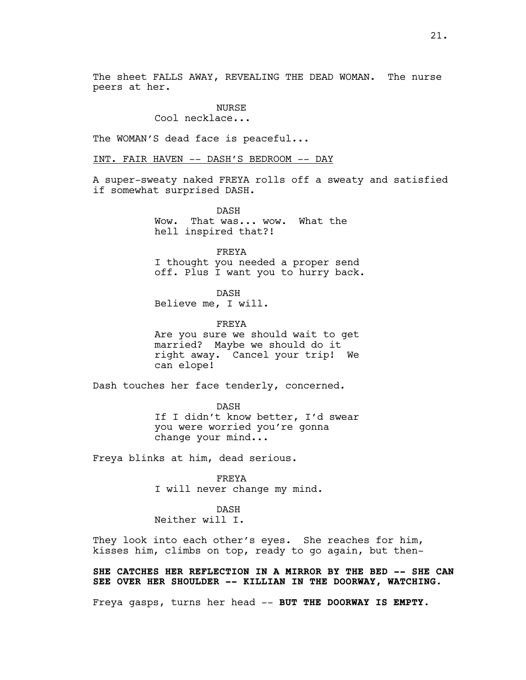The sheet FALLS AWAY, REVEALING THE DEAD WOMAN. The nurse peers at her.

# **NURSE**

Cool necklace...

The WOMAN'S dead face is peaceful...

INT. FAIR HAVEN -- DASH'S BEDROOM -- DAY

A super-sweaty naked FREYA rolls off a sweaty and satisfied if somewhat surprised DASH.

> DASH Wow. That was... wow. What the hell inspired that?!

FREYA I thought you needed a proper send off. Plus I want you to hurry back.

DASH Believe me, I will.

FREYA

Are you sure we should wait to get married? Maybe we should do it right away. Cancel your trip! We can elope!

Dash touches her face tenderly, concerned.

DASH If I didn't know better, I'd swear you were worried you're gonna change your mind...

Freya blinks at him, dead serious.

FREYA I will never change my mind.

# DASH Neither will I.

They look into each other's eyes. She reaches for him, kisses him, climbs on top, ready to go again, but then-

**SHE CATCHES HER REFLECTION IN A MIRROR BY THE BED –- SHE CAN SEE OVER HER SHOULDER –- KILLIAN IN THE DOORWAY, WATCHING.**

Freya gasps, turns her head -- **BUT THE DOORWAY IS EMPTY.**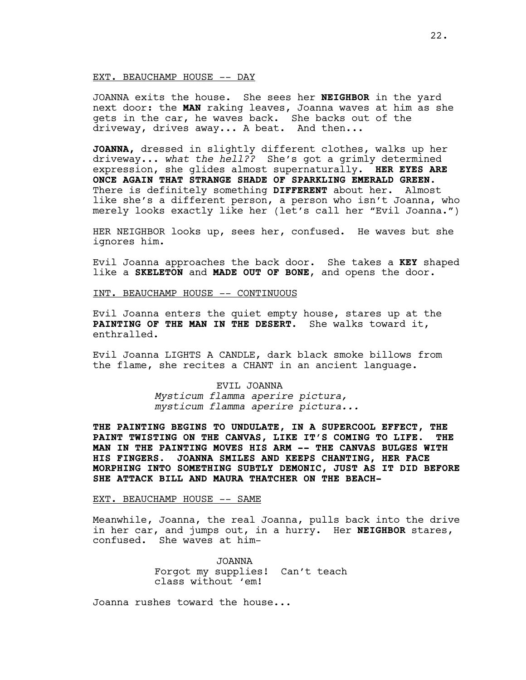#### EXT. BEAUCHAMP HOUSE -- DAY

JOANNA exits the house. She sees her **NEIGHBOR** in the yard next door: the **MAN** raking leaves, Joanna waves at him as she gets in the car, he waves back. She backs out of the driveway, drives away... A beat. And then...

**JOANNA,** dressed in slightly different clothes, walks up her driveway... *what the hell??* She's got a grimly determined expression, she glides almost supernaturally. **HER EYES ARE ONCE AGAIN THAT STRANGE SHADE OF SPARKLING EMERALD GREEN.**  There is definitely something **DIFFERENT** about her. Almost like she's a different person, a person who isn't Joanna, who merely looks exactly like her (let's call her "Evil Joanna.")

HER NEIGHBOR looks up, sees her, confused. He waves but she ignores him.

Evil Joanna approaches the back door. She takes a **KEY** shaped like a **SKELETON** and **MADE OUT OF BONE**, and opens the door.

INT. BEAUCHAMP HOUSE -- CONTINUOUS

Evil Joanna enters the quiet empty house, stares up at the **PAINTING OF THE MAN IN THE DESERT**. She walks toward it, enthralled.

Evil Joanna LIGHTS A CANDLE, dark black smoke billows from the flame, she recites a CHANT in an ancient language.

> EVIL JOANNA *Mysticum flamma aperire pictura, mysticum flamma aperire pictura...*

**THE PAINTING BEGINS TO UNDULATE, IN A SUPERCOOL EFFECT, THE PAINT TWISTING ON THE CANVAS, LIKE IT'S COMING TO LIFE. THE MAN IN THE PAINTING MOVES HIS ARM -- THE CANVAS BULGES WITH HIS FINGERS. JOANNA SMILES AND KEEPS CHANTING, HER FACE MORPHING INTO SOMETHING SUBTLY DEMONIC, JUST AS IT DID BEFORE SHE ATTACK BILL AND MAURA THATCHER ON THE BEACH-**

### EXT. BEAUCHAMP HOUSE -- SAME

Meanwhile, Joanna, the real Joanna, pulls back into the drive in her car, and jumps out, in a hurry. Her **NEIGHBOR** stares, confused. She waves at him-

> JOANNA Forgot my supplies! Can't teach class without 'em!

Joanna rushes toward the house...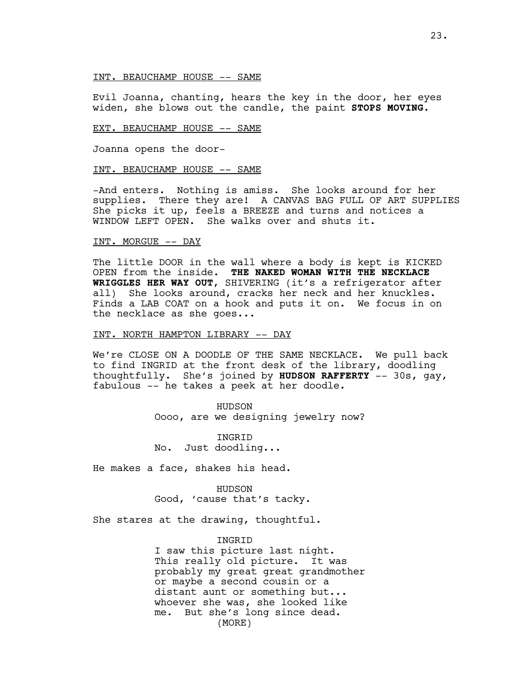#### INT. BEAUCHAMP HOUSE -- SAME

Evil Joanna, chanting, hears the key in the door, her eyes widen, she blows out the candle, the paint **STOPS MOVING.**

#### EXT. BEAUCHAMP HOUSE -- SAME

Joanna opens the door-

# INT. BEAUCHAMP HOUSE -- SAME

-And enters. Nothing is amiss. She looks around for her supplies. There they are! A CANVAS BAG FULL OF ART SUPPLIES She picks it up, feels a BREEZE and turns and notices a WINDOW LEFT OPEN. She walks over and shuts it.

#### INT. MORGUE -- DAY

The little DOOR in the wall where a body is kept is KICKED OPEN from the inside. **THE NAKED WOMAN WITH THE NECKLACE WRIGGLES HER WAY OUT**, SHIVERING (it's a refrigerator after all) She looks around, cracks her neck and her knuckles. Finds a LAB COAT on a hook and puts it on. We focus in on the necklace as she goes...

# INT. NORTH HAMPTON LIBRARY -- DAY

We're CLOSE ON A DOODLE OF THE SAME NECKLACE. We pull back to find INGRID at the front desk of the library, doodling thoughtfully. She's joined by **HUDSON RAFFERTY** -- 30s, gay, fabulous -- he takes a peek at her doodle.

> HUDSON Oooo, are we designing jewelry now?

**TNGRTD** No. Just doodling...

He makes a face, shakes his head.

HUDSON Good, 'cause that's tacky.

She stares at the drawing, thoughtful.

### **TNGRTD**

I saw this picture last night. This really old picture. It was probably my great great grandmother or maybe a second cousin or a distant aunt or something but... whoever she was, she looked like me. But she's long since dead. (MORE)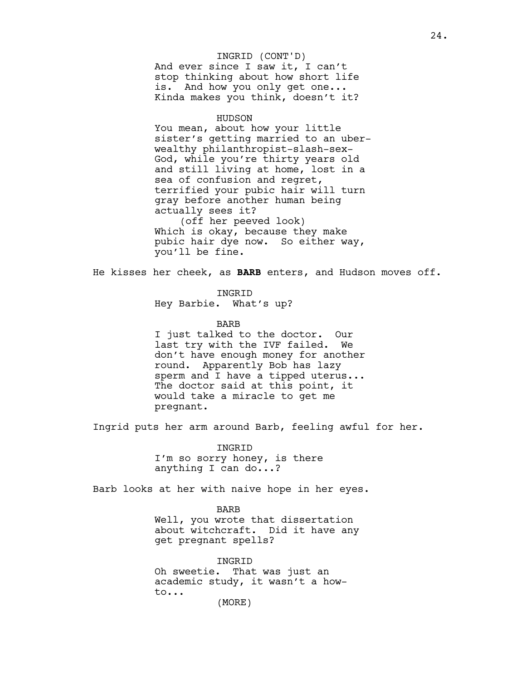And ever since I saw it, I can't stop thinking about how short life is. And how you only get one... Kinda makes you think, doesn't it? INGRID (CONT'D)

# HUDSON

You mean, about how your little sister's getting married to an uberwealthy philanthropist-slash-sex-God, while you're thirty years old and still living at home, lost in a sea of confusion and regret, terrified your pubic hair will turn gray before another human being actually sees it? (off her peeved look)

Which is okay, because they make pubic hair dye now. So either way, you'll be fine.

He kisses her cheek, as **BARB** enters, and Hudson moves off.

INGRID

Hey Barbie. What's up?

BARB

I just talked to the doctor. Our last try with the IVF failed. We don't have enough money for another round. Apparently Bob has lazy sperm and I have a tipped uterus... The doctor said at this point, it would take a miracle to get me pregnant.

Ingrid puts her arm around Barb, feeling awful for her.

INGRID I'm so sorry honey, is there anything I can do...?

Barb looks at her with naive hope in her eyes.

BARB Well, you wrote that dissertation about witchcraft. Did it have any get pregnant spells?

INGRID Oh sweetie. That was just an academic study, it wasn't a howto... (MORE)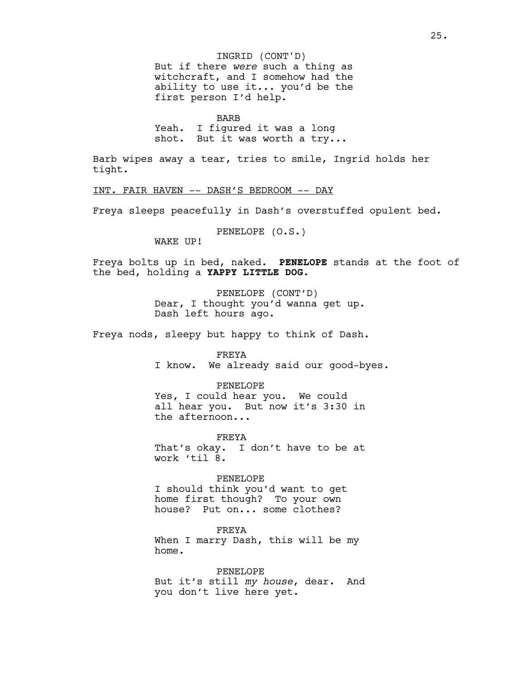But if there *were* such a thing as witchcraft, and I somehow had the ability to use it... you'd be the first person I'd help. INGRID (CONT'D)

BARB Yeah. I figured it was a long shot. But it was worth a try...

Barb wipes away a tear, tries to smile, Ingrid holds her tight.

INT. FAIR HAVEN -- DASH'S BEDROOM -- DAY

Freya sleeps peacefully in Dash's overstuffed opulent bed.

PENELOPE (O.S.)

WAKE UP!

Freya bolts up in bed, naked. **PENELOPE** stands at the foot of the bed, holding a **YAPPY LITTLE DOG.** 

> PENELOPE (CONT'D) Dear, I thought you'd wanna get up. Dash left hours ago.

Freya nods, sleepy but happy to think of Dash.

FREYA I know. We already said our good-byes.

PENELOPE Yes, I could hear you. We could all hear you. But now it's 3:30 in the afternoon...

FREYA That's okay. I don't have to be at work 'til 8.

PENELOPE I should think you'd want to get home first though? To your own house? Put on... some clothes?

FREYA When I marry Dash, this will be my home.

PENELOPE But it's still *my house*, dear. And you don't live here yet.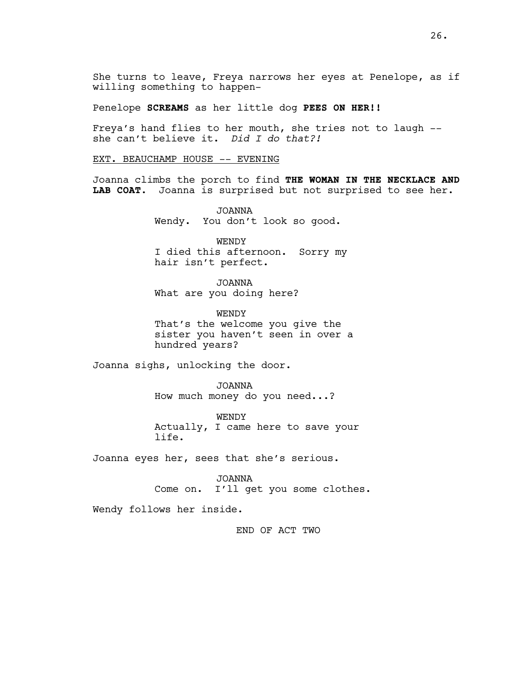She turns to leave, Freya narrows her eyes at Penelope, as if willing something to happen-

Penelope **SCREAMS** as her little dog **PEES ON HER!!**

Freya's hand flies to her mouth, she tries not to laugh - she can't believe it. *Did I do that?!* 

EXT. BEAUCHAMP HOUSE -- EVENING

Joanna climbs the porch to find **THE WOMAN IN THE NECKLACE AND LAB COAT.** Joanna is surprised but not surprised to see her.

> JOANNA Wendy. You don't look so good.

WENDY I died this afternoon. Sorry my hair isn't perfect.

JOANNA What are you doing here?

**WENDY** That's the welcome you give the sister you haven't seen in over a hundred years?

Joanna sighs, unlocking the door.

JOANNA How much money do you need...?

WENDY Actually, I came here to save your life.

Joanna eyes her, sees that she's serious.

JOANNA Come on. I'll get you some clothes.

Wendy follows her inside.

END OF ACT TWO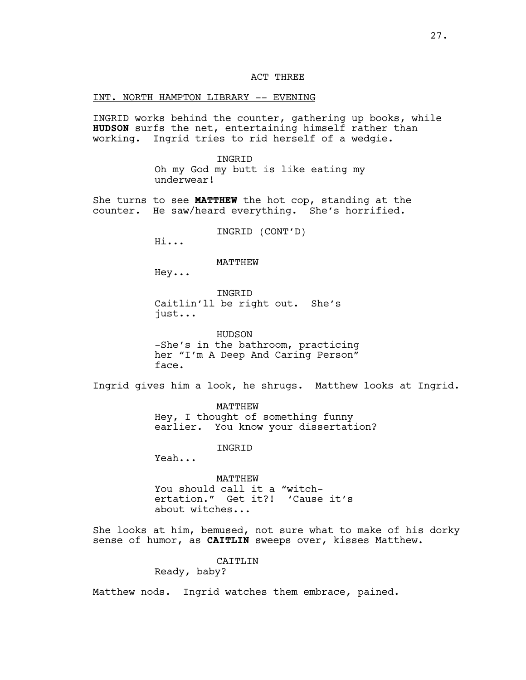# ACT THREE

### INT. NORTH HAMPTON LIBRARY -- EVENING

INGRID works behind the counter, gathering up books, while **HUDSON** surfs the net, entertaining himself rather than working. Ingrid tries to rid herself of a wedgie.

> INGRID Oh my God my butt is like eating my underwear!

She turns to see **MATTHEW** the hot cop, standing at the counter. He saw/heard everything. She's horrified.

INGRID (CONT'D)

Hi...

MATTHEW

Hey...

**INGRID** Caitlin'll be right out. She's just...

HUDSON -She's in the bathroom, practicing her "I'm A Deep And Caring Person" face.

Ingrid gives him a look, he shrugs. Matthew looks at Ingrid.

MATTHEW Hey, I thought of something funny earlier. You know your dissertation?

INGRID

Yeah...

MATTHEW You should call it a "witchertation." Get it?! 'Cause it's about witches...

She looks at him, bemused, not sure what to make of his dorky sense of humor, as **CAITLIN** sweeps over, kisses Matthew.

CAITLIN

Ready, baby?

Matthew nods. Ingrid watches them embrace, pained.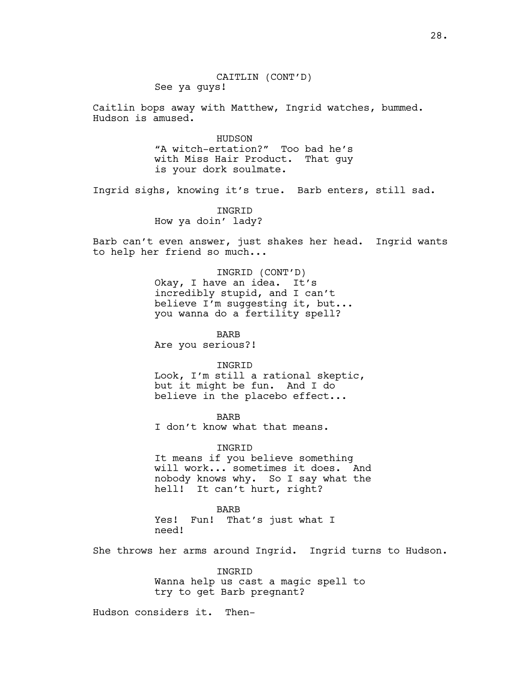Caitlin bops away with Matthew, Ingrid watches, bummed. Hudson is amused.

> HUDSON "A witch-ertation?" Too bad he's with Miss Hair Product. That guy is your dork soulmate.

Ingrid sighs, knowing it's true. Barb enters, still sad.

INGRID How ya doin' lady?

Barb can't even answer, just shakes her head. Ingrid wants to help her friend so much...

> INGRID (CONT'D) Okay, I have an idea. It's incredibly stupid, and I can't believe I'm suggesting it, but... you wanna do a fertility spell?

BARB Are you serious?!

INGRID

Look, I'm still a rational skeptic, but it might be fun. And I do believe in the placebo effect...

BARB I don't know what that means.

INGRID It means if you believe something will work... sometimes it does. And nobody knows why. So I say what the hell! It can't hurt, right?

BARB Yes! Fun! That's just what I need!

She throws her arms around Ingrid. Ingrid turns to Hudson.

INGRID Wanna help us cast a magic spell to try to get Barb pregnant?

Hudson considers it. Then-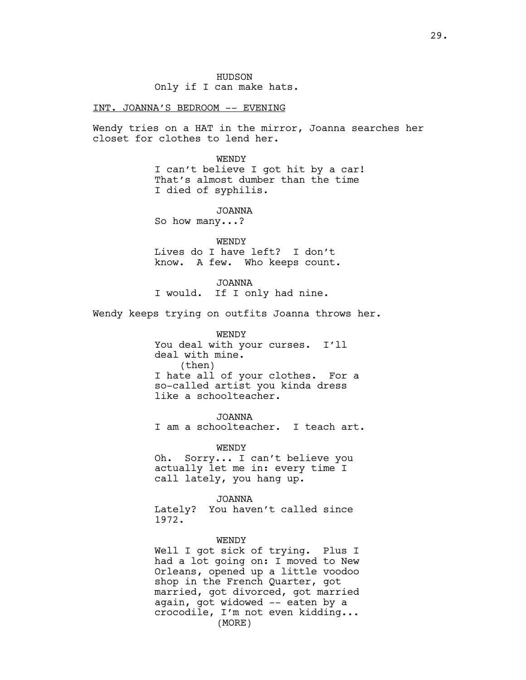HUDSON Only if I can make hats.

# INT. JOANNA'S BEDROOM -- EVENING

Wendy tries on a HAT in the mirror, Joanna searches her closet for clothes to lend her.

> WENDY I can't believe I got hit by a car! That's almost dumber than the time I died of syphilis.

JOANNA So how many...?

WENDY Lives do I have left? I don't know. A few. Who keeps count.

JOANNA I would. If I only had nine.

Wendy keeps trying on outfits Joanna throws her.

WENDY You deal with your curses. I'll deal with mine. (then) I hate all of your clothes. For a so-called artist you kinda dress like a schoolteacher.

JOANNA I am a schoolteacher. I teach art.

WENDY Oh. Sorry... I can't believe you actually let me in: every time I call lately, you hang up.

JOANNA Lately? You haven't called since 1972.

WENDY

Well I got sick of trying. Plus I had a lot going on: I moved to New Orleans, opened up a little voodoo shop in the French Quarter, got married, got divorced, got married again, got widowed -- eaten by a crocodile, I'm not even kidding... (MORE)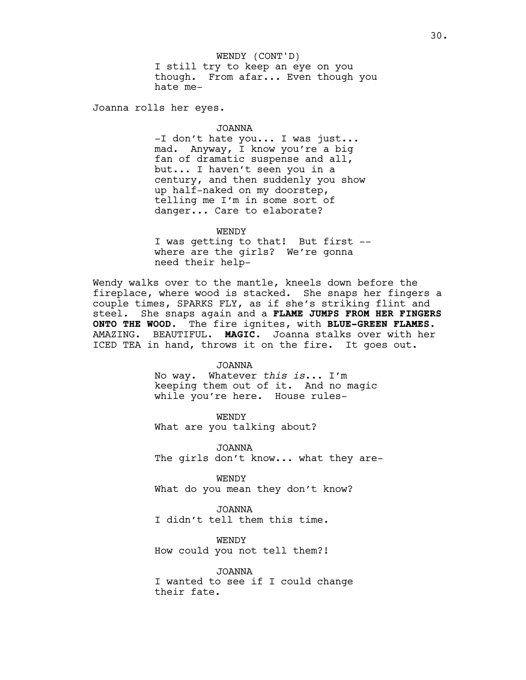I still try to keep an eye on you though. From afar... Even though you hate me-WENDY (CONT'D)

Joanna rolls her eyes.

# JOANNA

-I don't hate you... I was just... mad. Anyway, I know you're a big fan of dramatic suspense and all, but... I haven't seen you in a century, and then suddenly you show up half-naked on my doorstep, telling me I'm in some sort of danger... Care to elaborate?

WENDY I was getting to that! But first - where are the girls? We're gonna need their help-

Wendy walks over to the mantle, kneels down before the fireplace, where wood is stacked. She snaps her fingers a couple times, SPARKS FLY, as if she's striking flint and steel. She snaps again and a **FLAME JUMPS FROM HER FINGERS ONTO THE WOOD.** The fire ignites, with **BLUE-GREEN FLAMES.** AMAZING. BEAUTIFUL. **MAGIC.** Joanna stalks over with her ICED TEA in hand, throws it on the fire. It goes out.

# JOANNA

No way. Whatever *this is*... I'm keeping them out of it. And no magic while you're here. House rules-

WENDY What are you talking about?

JOANNA The girls don't know... what they are-

WENDY What do you mean they don't know?

JOANNA I didn't tell them this time.

WENDY How could you not tell them?!

JOANNA I wanted to see if I could change their fate.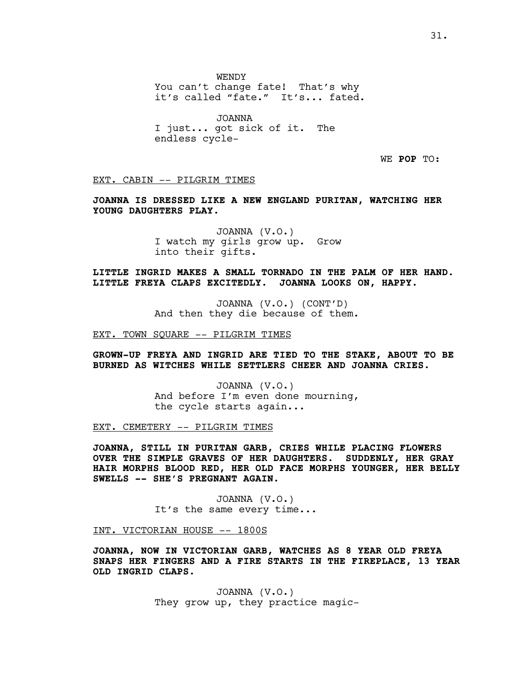WENDY

You can't change fate! That's why it's called "fate." It's... fated.

JOANNA I just... got sick of it. The endless cycle-

WE **POP** TO:

EXT. CABIN -- PILGRIM TIMES

**JOANNA IS DRESSED LIKE A NEW ENGLAND PURITAN, WATCHING HER YOUNG DAUGHTERS PLAY.**

> JOANNA (V.O.) I watch my girls grow up. Grow into their gifts.

**LITTLE INGRID MAKES A SMALL TORNADO IN THE PALM OF HER HAND. LITTLE FREYA CLAPS EXCITEDLY. JOANNA LOOKS ON, HAPPY.**

> JOANNA (V.O.) (CONT'D) And then they die because of them.

EXT. TOWN SQUARE -- PILGRIM TIMES

**GROWN-UP FREYA AND INGRID ARE TIED TO THE STAKE, ABOUT TO BE BURNED AS WITCHES WHILE SETTLERS CHEER AND JOANNA CRIES.**

> JOANNA (V.O.) And before I'm even done mourning, the cycle starts again...

EXT. CEMETERY -- PILGRIM TIMES

**JOANNA, STILL IN PURITAN GARB, CRIES WHILE PLACING FLOWERS OVER THE SIMPLE GRAVES OF HER DAUGHTERS. SUDDENLY, HER GRAY HAIR MORPHS BLOOD RED, HER OLD FACE MORPHS YOUNGER, HER BELLY SWELLS -- SHE'S PREGNANT AGAIN**.

> JOANNA (V.O.) It's the same every time...

INT. VICTORIAN HOUSE -- 1800S

**JOANNA, NOW IN VICTORIAN GARB, WATCHES AS 8 YEAR OLD FREYA SNAPS HER FINGERS AND A FIRE STARTS IN THE FIREPLACE, 13 YEAR OLD INGRID CLAPS.**

> JOANNA (V.O.) They grow up, they practice magic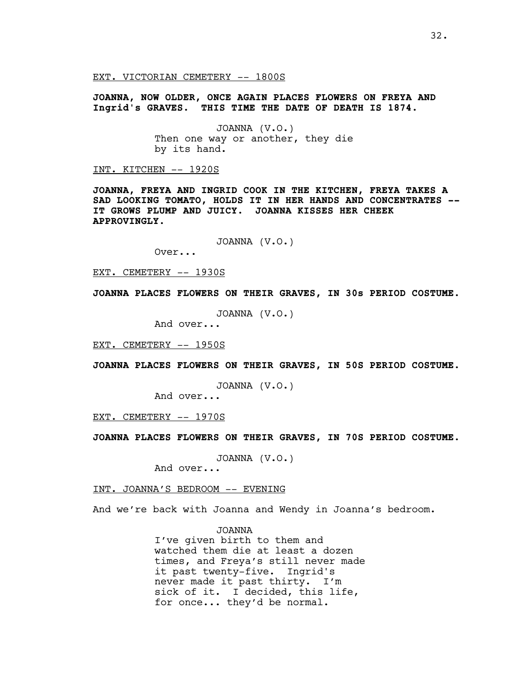EXT. VICTORIAN CEMETERY -- 1800S

**JOANNA, NOW OLDER, ONCE AGAIN PLACES FLOWERS ON FREYA AND Ingrid's GRAVES. THIS TIME THE DATE OF DEATH IS 1874.**

> JOANNA (V.O.) Then one way or another, they die by its hand.

INT. KITCHEN -- 1920S

**JOANNA, FREYA AND INGRID COOK IN THE KITCHEN, FREYA TAKES A SAD LOOKING TOMATO, HOLDS IT IN HER HANDS AND CONCENTRATES -- IT GROWS PLUMP AND JUICY. JOANNA KISSES HER CHEEK APPROVINGLY.** 

JOANNA (V.O.)

Over...

EXT. CEMETERY -- 1930S

**JOANNA PLACES FLOWERS ON THEIR GRAVES, IN 30s PERIOD COSTUME.**

JOANNA (V.O.)

And over...

EXT. CEMETERY -- 1950S

**JOANNA PLACES FLOWERS ON THEIR GRAVES, IN 50S PERIOD COSTUME.**

JOANNA (V.O.)

And over...

EXT. CEMETERY -- 1970S

**JOANNA PLACES FLOWERS ON THEIR GRAVES, IN 70S PERIOD COSTUME.**

JOANNA (V.O.)

And over...

INT. JOANNA'S BEDROOM -- EVENING

And we're back with Joanna and Wendy in Joanna's bedroom.

JOANNA I've given birth to them and watched them die at least a dozen times, and Freya's still never made it past twenty-five. Ingrid's never made it past thirty. I'm sick of it. I decided, this life, for once... they'd be normal.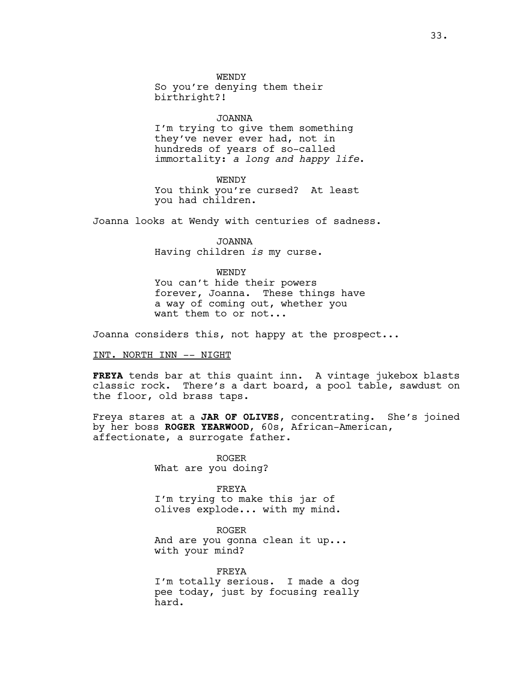WENDY So you're denying them their birthright?!

JOANNA

I'm trying to give them something they've never ever had, not in hundreds of years of so-called immortality: *a long and happy life*.

WENDY You think you're cursed? At least you had children.

Joanna looks at Wendy with centuries of sadness.

JOANNA Having children *is* my curse.

**WENDY** You can't hide their powers forever, Joanna. These things have a way of coming out, whether you want them to or not...

Joanna considers this, not happy at the prospect...

INT. NORTH INN -- NIGHT

**FREYA** tends bar at this quaint inn. A vintage jukebox blasts classic rock. There's a dart board, a pool table, sawdust on the floor, old brass taps.

Freya stares at a **JAR OF OLIVES**, concentrating. She's joined by her boss **ROGER YEARWOOD**, 60s, African-American, affectionate, a surrogate father.

> ROGER What are you doing?

FREYA I'm trying to make this jar of olives explode... with my mind.

ROGER And are you gonna clean it up... with your mind?

FREYA I'm totally serious. I made a dog pee today, just by focusing really hard.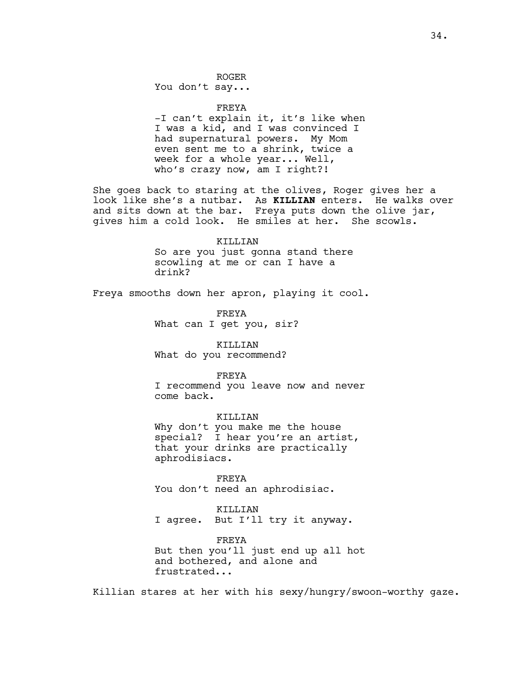## ROGER

You don't say...

#### FREYA

-I can't explain it, it's like when I was a kid, and I was convinced I had supernatural powers. My Mom even sent me to a shrink, twice a week for a whole year... Well, who's crazy now, am I right?!

She goes back to staring at the olives, Roger gives her a look like she's a nutbar. As **KILLIAN** enters. He walks over and sits down at the bar. Freya puts down the olive jar, gives him a cold look. He smiles at her. She scowls.

# KILLIAN So are you just gonna stand there scowling at me or can I have a drink?

Freya smooths down her apron, playing it cool.

FREYA What can I get you, sir?

KILLIAN What do you recommend?

### FREYA

I recommend you leave now and never come back.

# KILLIAN

Why don't you make me the house special? I hear you're an artist, that your drinks are practically aphrodisiacs.

FREYA You don't need an aphrodisiac.

# KILLIAN I agree. But I'll try it anyway.

FREYA But then you'll just end up all hot and bothered, and alone and frustrated...

Killian stares at her with his sexy/hungry/swoon-worthy gaze.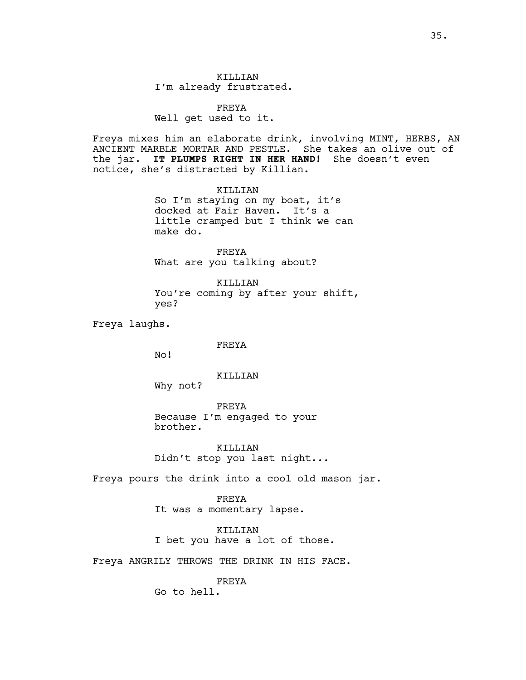KILLIAN I'm already frustrated.

FREYA Well get used to it.

Freya mixes him an elaborate drink, involving MINT, HERBS, AN ANCIENT MARBLE MORTAR AND PESTLE. She takes an olive out of the jar. **IT PLUMPS RIGHT IN HER HAND!** She doesn't even notice, she's distracted by Killian.

> KILLIAN So I'm staying on my boat, it's docked at Fair Haven. It's a little cramped but I think we can make do.

FREYA What are you talking about?

KILLIAN You're coming by after your shift, yes?

Freya laughs.

# FREYA

No!

# KILLIAN

Why not?

FREYA Because I'm engaged to your brother.

KILLIAN Didn't stop you last night...

Freya pours the drink into a cool old mason jar.

FREYA It was a momentary lapse.

KILLIAN I bet you have a lot of those.

Freya ANGRILY THROWS THE DRINK IN HIS FACE.

FREYA Go to hell.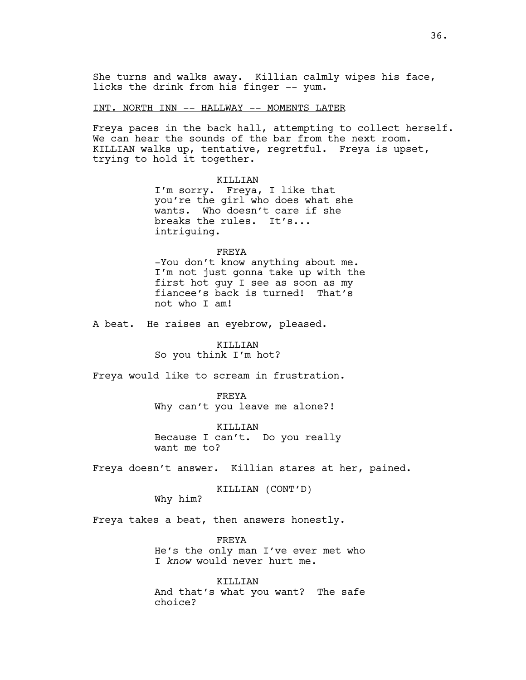# INT. NORTH INN -- HALLWAY -- MOMENTS LATER

Freya paces in the back hall, attempting to collect herself. We can hear the sounds of the bar from the next room. KILLIAN walks up, tentative, regretful. Freya is upset, trying to hold it together.

# KILLIAN

I'm sorry. Freya, I like that you're the girl who does what she wants. Who doesn't care if she breaks the rules. It's... intriguing.

#### FREYA

-You don't know anything about me. I'm not just gonna take up with the first hot guy I see as soon as my fiancee's back is turned! That's not who I am!

A beat. He raises an eyebrow, pleased.

# KILLIAN

So you think I'm hot?

Freya would like to scream in frustration.

FREYA Why can't you leave me alone?!

KILLIAN Because I can't. Do you really want me to?

Freya doesn't answer. Killian stares at her, pained.

KILLIAN (CONT'D)

Why him?

Freya takes a beat, then answers honestly.

FREYA He's the only man I've ever met who I *know* would never hurt me.

KILLIAN And that's what you want? The safe choice?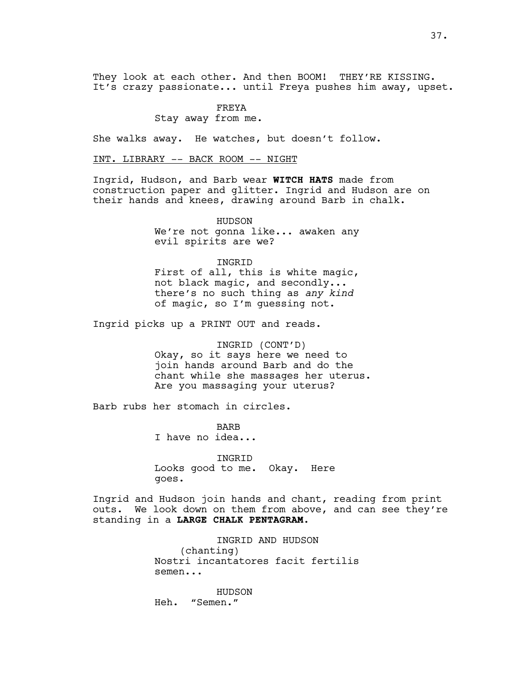They look at each other. And then BOOM! THEY'RE KISSING. It's crazy passionate... until Freya pushes him away, upset.

# FREYA

Stay away from me.

She walks away. He watches, but doesn't follow.

INT. LIBRARY -- BACK ROOM -- NIGHT

Ingrid, Hudson, and Barb wear **WITCH HATS** made from construction paper and glitter. Ingrid and Hudson are on their hands and knees, drawing around Barb in chalk.

> HUDSON We're not gonna like... awaken any evil spirits are we?

INGRID First of all, this is white magic, not black magic, and secondly... there's no such thing as *any kind*

of magic, so I'm guessing not.

Ingrid picks up a PRINT OUT and reads.

INGRID (CONT'D) Okay, so it says here we need to join hands around Barb and do the chant while she massages her uterus. Are you massaging your uterus?

Barb rubs her stomach in circles.

BARB I have no idea...

INGRID Looks good to me. Okay. Here goes.

Ingrid and Hudson join hands and chant, reading from print outs. We look down on them from above, and can see they're standing in a **LARGE CHALK PENTAGRAM.**

> INGRID AND HUDSON (chanting) Nostri incantatores facit fertilis semen...

HUDSON Heh. "Semen."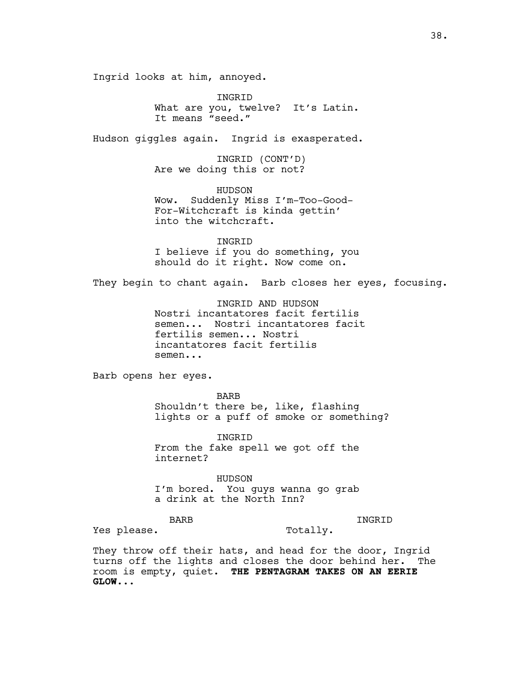Ingrid looks at him, annoyed.

INGRID What are you, twelve? It's Latin. It means "seed."

Hudson giggles again. Ingrid is exasperated.

INGRID (CONT'D) Are we doing this or not?

HUDSON Wow. Suddenly Miss I'm-Too-Good-For-Witchcraft is kinda gettin' into the witchcraft.

INGRID I believe if you do something, you should do it right. Now come on.

They begin to chant again. Barb closes her eyes, focusing.

INGRID AND HUDSON Nostri incantatores facit fertilis semen... Nostri incantatores facit fertilis semen... Nostri incantatores facit fertilis semen...

Barb opens her eyes.

BARB Shouldn't there be, like, flashing lights or a puff of smoke or something?

INGRID From the fake spell we got off the internet?

HUDSON I'm bored. You guys wanna go grab a drink at the North Inn?

BARB

INGRID

Yes please.

Totally.

They throw off their hats, and head for the door, Ingrid turns off the lights and closes the door behind her. The room is empty, quiet. **THE PENTAGRAM TAKES ON AN EERIE GLOW...**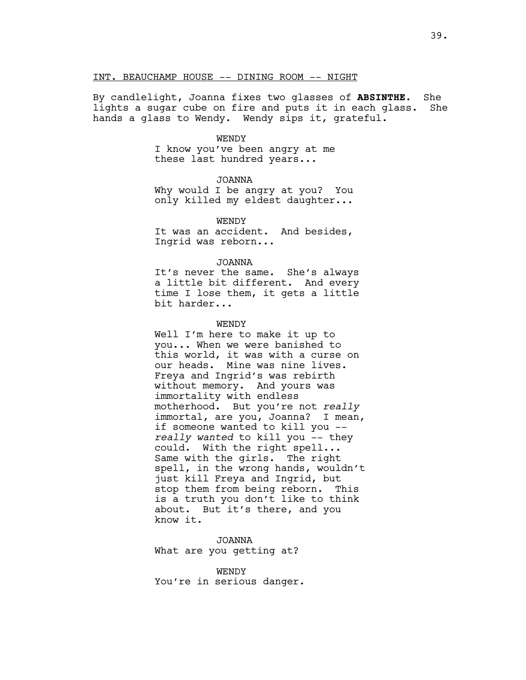### INT. BEAUCHAMP HOUSE -- DINING ROOM -- NIGHT

By candlelight, Joanna fixes two glasses of **ABSINTHE**. She lights a sugar cube on fire and puts it in each glass. She hands a glass to Wendy. Wendy sips it, grateful.

### WENDY

I know you've been angry at me these last hundred years...

JOANNA

Why would I be angry at you? You only killed my eldest daughter...

**WENDY** It was an accident. And besides, Ingrid was reborn...

# JOANNA

It's never the same. She's always a little bit different. And every time I lose them, it gets a little bit harder...

### WENDY

Well I'm here to make it up to you... When we were banished to this world, it was with a curse on our heads. Mine was nine lives. Freya and Ingrid's was rebirth without memory. And yours was immortality with endless motherhood. But you're not *really* immortal, are you, Joanna? I mean, if someone wanted to kill you - *really wanted* to kill you -- they could. With the right spell... Same with the girls. The right spell, in the wrong hands, wouldn't just kill Freya and Ingrid, but stop them from being reborn. This is a truth you don't like to think about. But it's there, and you know it.

JOANNA What are you getting at?

WENDY You're in serious danger.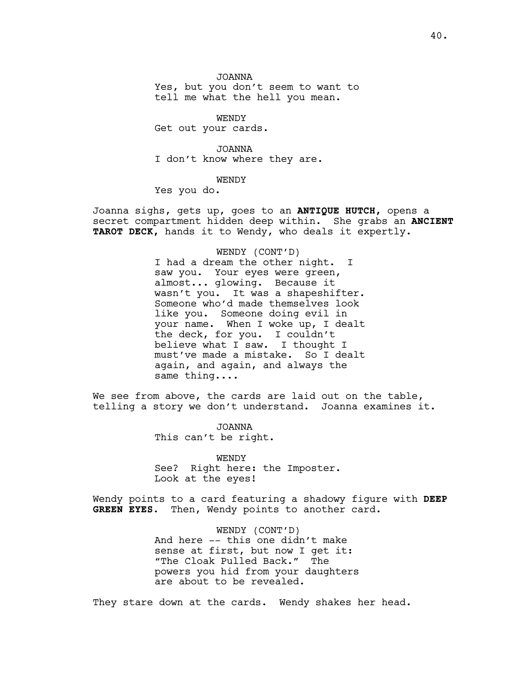JOANNA Yes, but you don't seem to want to tell me what the hell you mean.

WENDY Get out your cards.

JOANNA I don't know where they are.

WENDY

Yes you do.

Joanna sighs, gets up, goes to an **ANTIQUE HUTCH,** opens a secret compartment hidden deep within. She grabs an **ANCIENT TAROT DECK,** hands it to Wendy, who deals it expertly.

WENDY (CONT'D)

I had a dream the other night. I saw you. Your eyes were green, almost... glowing. Because it wasn't you. It was a shapeshifter. Someone who'd made themselves look like you. Someone doing evil in your name. When I woke up, I dealt the deck, for you. I couldn't believe what I saw. I thought I must've made a mistake. So I dealt again, and again, and always the same thing....

We see from above, the cards are laid out on the table, telling a story we don't understand. Joanna examines it.

> JOANNA This can't be right.

WENDY See? Right here: the Imposter. Look at the eyes!

Wendy points to a card featuring a shadowy figure with **DEEP GREEN EYES**. Then, Wendy points to another card.

> WENDY (CONT'D) And here -- this one didn't make sense at first, but now I get it: "The Cloak Pulled Back." The powers you hid from your daughters are about to be revealed.

They stare down at the cards. Wendy shakes her head.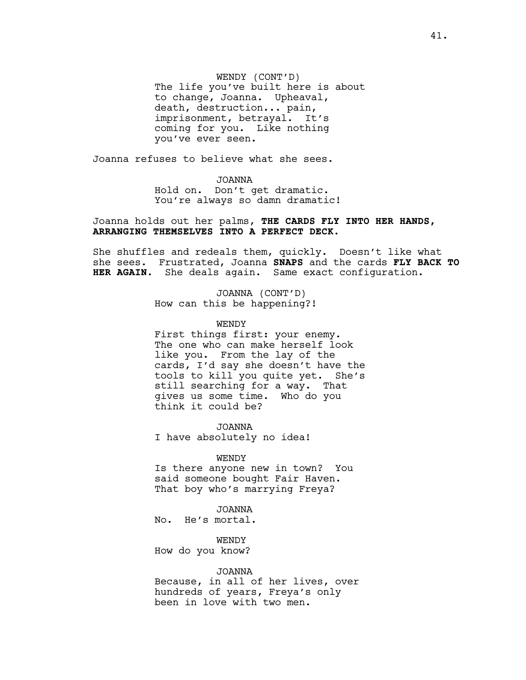WENDY (CONT'D) The life you've built here is about to change, Joanna. Upheaval, death, destruction... pain, imprisonment, betrayal. It's coming for you. Like nothing you've ever seen.

Joanna refuses to believe what she sees.

JOANNA Hold on. Don't get dramatic. You're always so damn dramatic!

Joanna holds out her palms, **THE CARDS FLY INTO HER HANDS, ARRANGING THEMSELVES INTO A PERFECT DECK.**

She shuffles and redeals them, quickly. Doesn't like what she sees. Frustrated, Joanna **SNAPS** and the cards **FLY BACK TO HER AGAIN**. She deals again. Same exact configuration.

> JOANNA (CONT'D) How can this be happening?!

> > WENDY

First things first: your enemy. The one who can make herself look like you. From the lay of the cards, I'd say she doesn't have the tools to kill you quite yet. She's still searching for a way. That gives us some time. Who do you think it could be?

JOANNA I have absolutely no idea!

WENDY

Is there anyone new in town? You said someone bought Fair Haven. That boy who's marrying Freya?

JOANNA No. He's mortal.

WENDY How do you know?

JOANNA

Because, in all of her lives, over hundreds of years, Freya's only been in love with two men.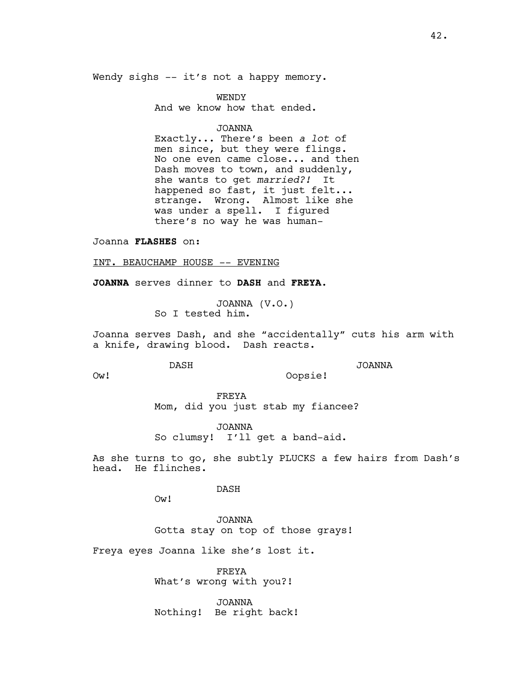Wendy sighs -- it's not a happy memory.

WENDY And we know how that ended.

JOANNA

Exactly... There's been *a lot* of men since, but they were flings. No one even came close... and then Dash moves to town, and suddenly, she wants to get *married?!* It happened so fast, it just felt... strange. Wrong. Almost like she was under a spell. I figured there's no way he was human-

Joanna **FLASHES** on:

INT. BEAUCHAMP HOUSE -- EVENING

**JOANNA** serves dinner to **DASH** and **FREYA**.

JOANNA (V.O.) So I tested him.

Joanna serves Dash, and she "accidentally" cuts his arm with a knife, drawing blood. Dash reacts.

Oopsie!

DASH

JOANNA

Ow!

FREYA Mom, did you just stab my fiancee?

JOANNA So clumsy! I'll get a band-aid.

As she turns to go, she subtly PLUCKS a few hairs from Dash's head. He flinches.

DASH

Ow!

JOANNA Gotta stay on top of those grays!

Freya eyes Joanna like she's lost it.

FREYA What's wrong with you?!

JOANNA Nothing! Be right back!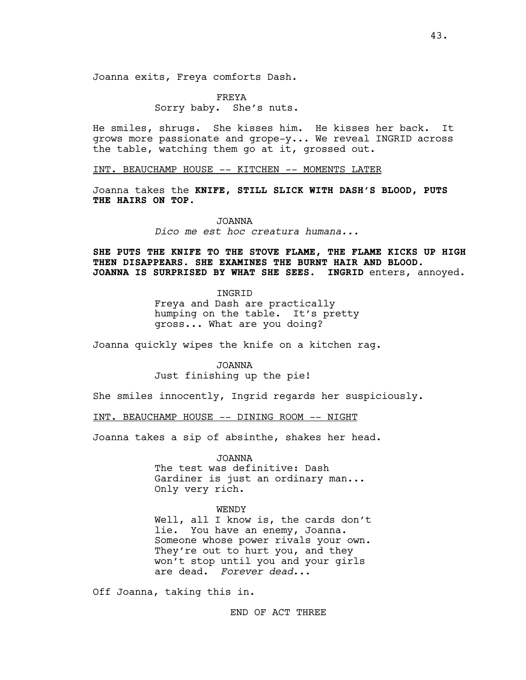FREYA Sorry baby. She's nuts.

He smiles, shrugs. She kisses him. He kisses her back. It grows more passionate and grope-y... We reveal INGRID across the table, watching them go at it, grossed out.

INT. BEAUCHAMP HOUSE -- KITCHEN -- MOMENTS LATER

Joanna takes the **KNIFE, STILL SLICK WITH DASH'S BLOOD, PUTS THE HAIRS ON TOP.**

JOANNA

*Dico me est hoc creatura humana...* 

**SHE PUTS THE KNIFE TO THE STOVE FLAME, THE FLAME KICKS UP HIGH THEN DISAPPEARS. SHE EXAMINES THE BURNT HAIR AND BLOOD. JOANNA IS SURPRISED BY WHAT SHE SEES. INGRID** enters, annoyed.

> INGRID Freya and Dash are practically humping on the table. It's pretty gross... What are you doing?

Joanna quickly wipes the knife on a kitchen rag.

JOANNA Just finishing up the pie!

She smiles innocently, Ingrid regards her suspiciously.

INT. BEAUCHAMP HOUSE -- DINING ROOM -- NIGHT

Joanna takes a sip of absinthe, shakes her head.

JOANNA The test was definitive: Dash Gardiner is just an ordinary man...

# WENDY

Only very rich.

Well, all I know is, the cards don't lie. You have an enemy, Joanna. Someone whose power rivals your own. They're out to hurt you, and they won't stop until you and your girls are dead. *Forever dead*...

Off Joanna, taking this in.

END OF ACT THREE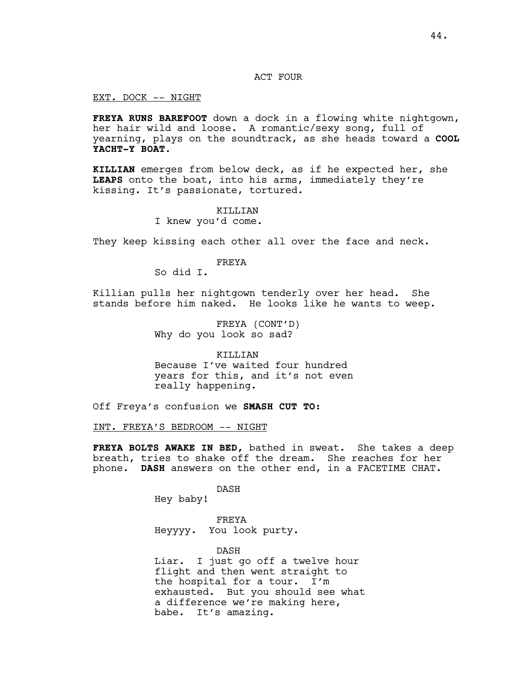# ACT FOUR

EXT. DOCK -- NIGHT

**FREYA RUNS BAREFOOT** down a dock in a flowing white nightgown, her hair wild and loose. A romantic/sexy song, full of yearning, plays on the soundtrack, as she heads toward a **COOL YACHT-Y BOAT**.

**KILLIAN** emerges from below deck, as if he expected her, she **LEAPS** onto the boat, into his arms, immediately they're kissing. It's passionate, tortured.

> KILLIAN I knew you'd come.

They keep kissing each other all over the face and neck.

# FREYA

So did I.

Killian pulls her nightgown tenderly over her head. She stands before him naked. He looks like he wants to weep.

> FREYA (CONT'D) Why do you look so sad?

KILLIAN Because I've waited four hundred years for this, and it's not even really happening.

Off Freya's confusion we **SMASH CUT TO:**

INT. FREYA'S BEDROOM -- NIGHT

**FREYA BOLTS AWAKE IN BED,** bathed in sweat. She takes a deep breath, tries to shake off the dream. She reaches for her phone. **DASH** answers on the other end, in a FACETIME CHAT.

DASH

Hey baby!

FREYA Heyyyy. You look purty.

DASH Liar. I just go off a twelve hour flight and then went straight to the hospital for a tour. I'm exhausted. But you should see what a difference we're making here, babe. It's amazing.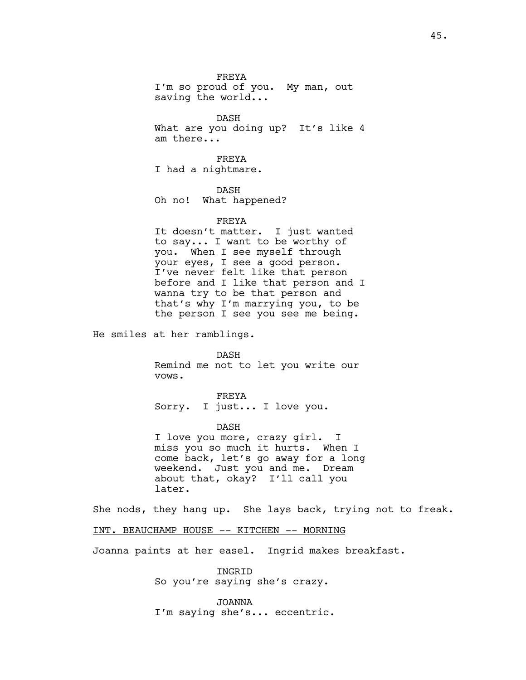FREYA I'm so proud of you. My man, out saving the world...

DASH What are you doing up? It's like 4 am there...

FREYA I had a nightmare.

DASH

Oh no! What happened?

# FREYA

It doesn't matter. I just wanted to say... I want to be worthy of you. When I see myself through your eyes, I see a good person. I've never felt like that person before and I like that person and I wanna try to be that person and that's why I'm marrying you, to be the person I see you see me being.

He smiles at her ramblings.

DASH Remind me not to let you write our vows.

FREYA Sorry. I just... I love you.

DASH

I love you more, crazy girl. I miss you so much it hurts. When I come back, let's go away for a long weekend. Just you and me. Dream about that, okay? I'll call you later.

She nods, they hang up. She lays back, trying not to freak.

INT. BEAUCHAMP HOUSE -- KITCHEN -- MORNING

Joanna paints at her easel. Ingrid makes breakfast.

INGRID So you're saying she's crazy.

JOANNA I'm saying she's... eccentric.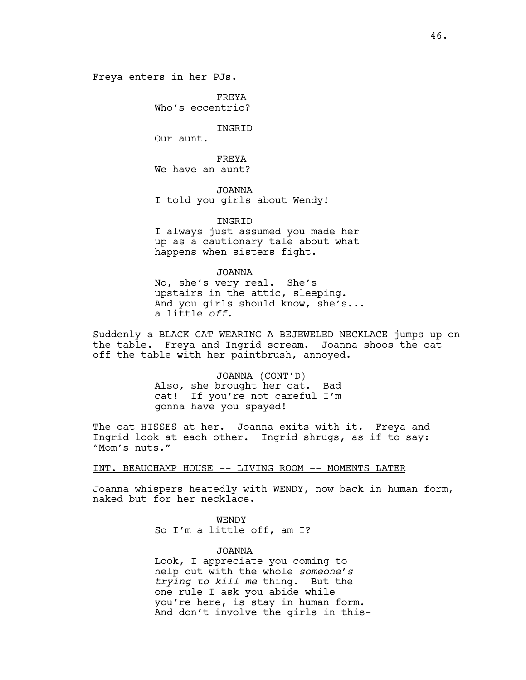Freya enters in her PJs.

FREYA Who's eccentric?

INGRID

Our aunt.

FREYA We have an aunt?

JOANNA I told you girls about Wendy!

INGRID I always just assumed you made her up as a cautionary tale about what happens when sisters fight.

JOANNA

No, she's very real. She's upstairs in the attic, sleeping. And you girls should know, she's... a little *off*.

Suddenly a BLACK CAT WEARING A BEJEWELED NECKLACE jumps up on the table. Freya and Ingrid scream. Joanna shoos the cat off the table with her paintbrush, annoyed.

> JOANNA (CONT'D) Also, she brought her cat. Bad cat! If you're not careful I'm gonna have you spayed!

The cat HISSES at her. Joanna exits with it. Freya and Ingrid look at each other. Ingrid shrugs, as if to say: "Mom's nuts."

INT. BEAUCHAMP HOUSE -- LIVING ROOM -- MOMENTS LATER

Joanna whispers heatedly with WENDY, now back in human form, naked but for her necklace.

**WENDY** 

So I'm a little off, am I?

JOANNA

Look, I appreciate you coming to help out with the whole *someone's trying to kill me* thing. But the one rule I ask you abide while you're here, is stay in human form. And don't involve the girls in this-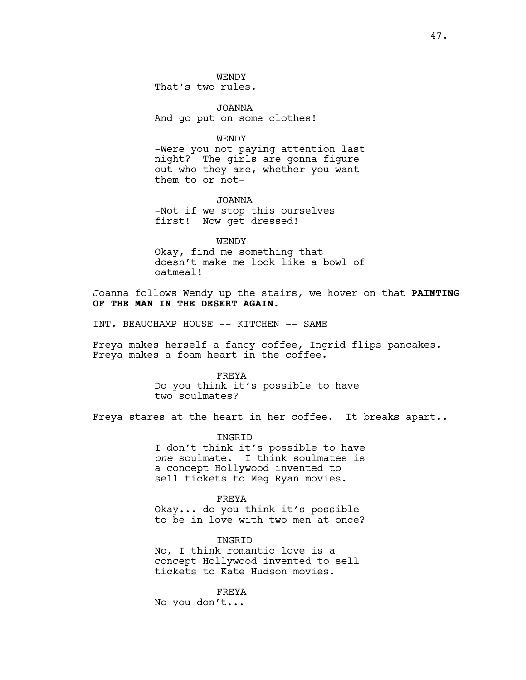JOANNA And go put on some clothes!

WENDY

-Were you not paying attention last night? The girls are gonna figure out who they are, whether you want them to or not-

JOANNA -Not if we stop this ourselves first! Now get dressed!

WENDY Okay, find me something that doesn't make me look like a bowl of oatmeal!

Joanna follows Wendy up the stairs, we hover on that **PAINTING OF THE MAN IN THE DESERT AGAIN.**

INT. BEAUCHAMP HOUSE -- KITCHEN -- SAME

Freya makes herself a fancy coffee, Ingrid flips pancakes. Freya makes a foam heart in the coffee.

FREYA

Do you think it's possible to have two soulmates?

Freya stares at the heart in her coffee. It breaks apart..

INGRID

I don't think it's possible to have *one* soulmate. I think soulmates is a concept Hollywood invented to sell tickets to Meg Ryan movies.

FREYA Okay... do you think it's possible to be in love with two men at once?

**TNGRTD** No, I think romantic love is a concept Hollywood invented to sell tickets to Kate Hudson movies.

FREYA No you don't...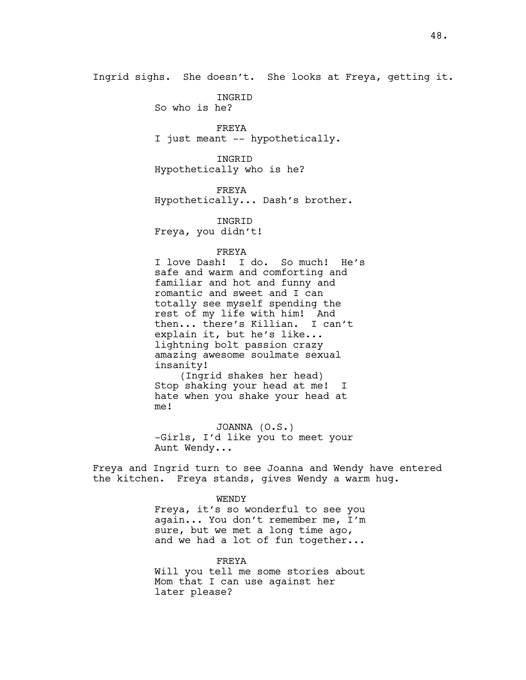Ingrid sighs. She doesn't. She looks at Freya, getting it.

INGRID So who is he?

FREYA I just meant -- hypothetically.

INGRID Hypothetically who is he?

FREYA Hypothetically... Dash's brother.

INGRID Freya, you didn't!

FREYA

I love Dash! I do. So much! He's safe and warm and comforting and familiar and hot and funny and romantic and sweet and I can totally see myself spending the rest of my life with him! And then... there's Killian. I can't explain it, but he's like... lightning bolt passion crazy amazing awesome soulmate sexual insanity!

(Ingrid shakes her head) Stop shaking your head at me! I hate when you shake your head at me!

JOANNA (O.S.) -Girls, I'd like you to meet your Aunt Wendy...

Freya and Ingrid turn to see Joanna and Wendy have entered the kitchen. Freya stands, gives Wendy a warm hug.

> WENDY Freya, it's so wonderful to see you again... You don't remember me, I'm sure, but we met a long time ago, and we had a lot of fun together...

> FREYA Will you tell me some stories about Mom that I can use against her later please?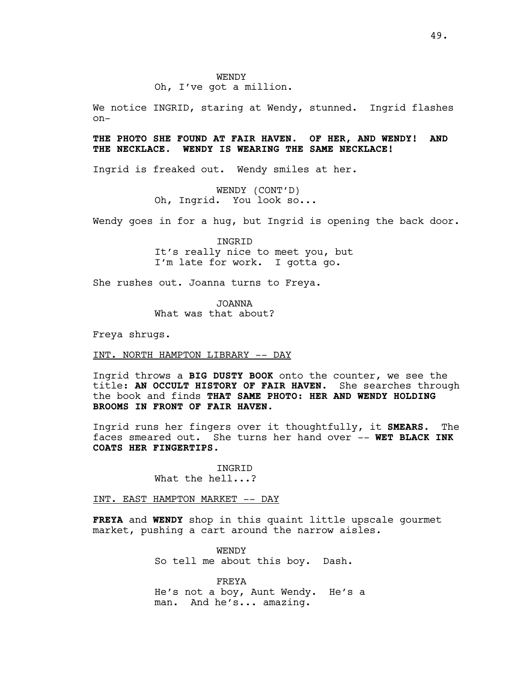Oh, I've got a million.

We notice INGRID, staring at Wendy, stunned. Ingrid flashes on-

# **THE PHOTO SHE FOUND AT FAIR HAVEN. OF HER, AND WENDY! AND THE NECKLACE. WENDY IS WEARING THE SAME NECKLACE!**

Ingrid is freaked out. Wendy smiles at her.

WENDY (CONT'D) Oh, Ingrid. You look so...

Wendy goes in for a hug, but Ingrid is opening the back door.

INGRID It's really nice to meet you, but I'm late for work. I gotta go.

She rushes out. Joanna turns to Freya.

JOANNA What was that about?

Freya shrugs.

INT. NORTH HAMPTON LIBRARY -- DAY

Ingrid throws a **BIG DUSTY BOOK** onto the counter, we see the title: **AN OCCULT HISTORY OF FAIR HAVEN.** She searches through the book and finds **THAT SAME PHOTO: HER AND WENDY HOLDING BROOMS IN FRONT OF FAIR HAVEN.**

Ingrid runs her fingers over it thoughtfully, it **SMEARS.** The faces smeared out. She turns her hand over –- **WET BLACK INK COATS HER FINGERTIPS.**

> INGRID What the hell...?

INT. EAST HAMPTON MARKET -- DAY

**FREYA** and **WENDY** shop in this quaint little upscale gourmet market, pushing a cart around the narrow aisles.

> WENDY So tell me about this boy. Dash.

FREYA He's not a boy, Aunt Wendy. He's a man. And he's... amazing.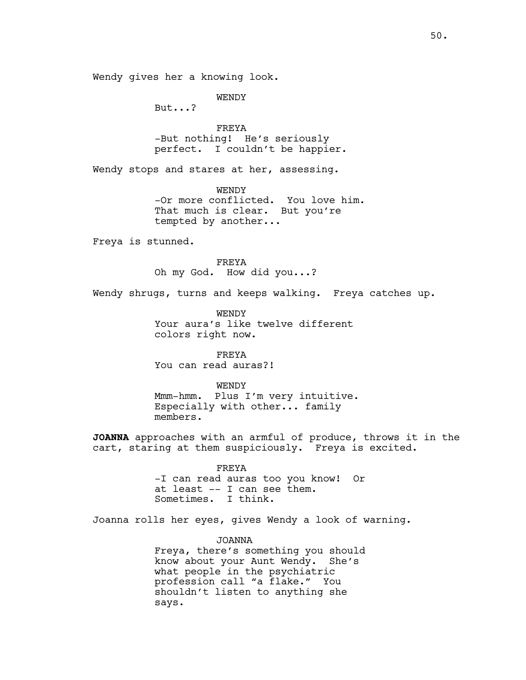Wendy gives her a knowing look.

WENDY

But...?

FREYA -But nothing! He's seriously perfect. I couldn't be happier.

Wendy stops and stares at her, assessing.

WENDY -Or more conflicted. You love him. That much is clear. But you're tempted by another...

Freya is stunned.

FREYA Oh my God. How did you...?

Wendy shrugs, turns and keeps walking. Freya catches up.

**WENDY** Your aura's like twelve different colors right now.

FREYA You can read auras?!

WENDY Mmm-hmm. Plus I'm very intuitive. Especially with other... family members.

**JOANNA** approaches with an armful of produce, throws it in the cart, staring at them suspiciously. Freya is excited.

> FREYA -I can read auras too you know! Or at least -- I can see them. Sometimes. I think.

Joanna rolls her eyes, gives Wendy a look of warning.

JOANNA Freya, there's something you should know about your Aunt Wendy. She's what people in the psychiatric profession call "a flake." You shouldn't listen to anything she says.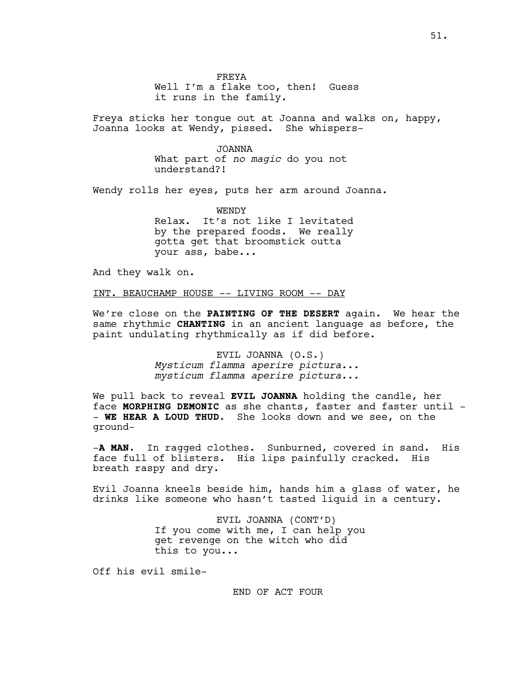FREYA Well I'm a flake too, then! Guess it runs in the family.

Freya sticks her tongue out at Joanna and walks on, happy, Joanna looks at Wendy, pissed. She whispers-

> JOANNA What part of *no magic* do you not understand?!

Wendy rolls her eyes, puts her arm around Joanna.

WENDY Relax. It's not like I levitated by the prepared foods. We really gotta get that broomstick outta your ass, babe...

And they walk on.

INT. BEAUCHAMP HOUSE -- LIVING ROOM -- DAY

We're close on the **PAINTING OF THE DESERT** again. We hear the same rhythmic **CHANTING** in an ancient language as before, the paint undulating rhythmically as if did before.

> EVIL JOANNA (O.S.) *Mysticum flamma aperire pictura... mysticum flamma aperire pictura...*

We pull back to reveal **EVIL JOANNA** holding the candle, her face **MORPHING DEMONIC** as she chants, faster and faster until - - **WE HEAR A LOUD THUD.** She looks down and we see, on the ground-

-**A MAN.** In ragged clothes. Sunburned, covered in sand. His face full of blisters. His lips painfully cracked. His breath raspy and dry.

Evil Joanna kneels beside him, hands him a glass of water, he drinks like someone who hasn't tasted liquid in a century.

> EVIL JOANNA (CONT'D) If you come with me, I can help you get revenge on the witch who did this to you...

Off his evil smile-

END OF ACT FOUR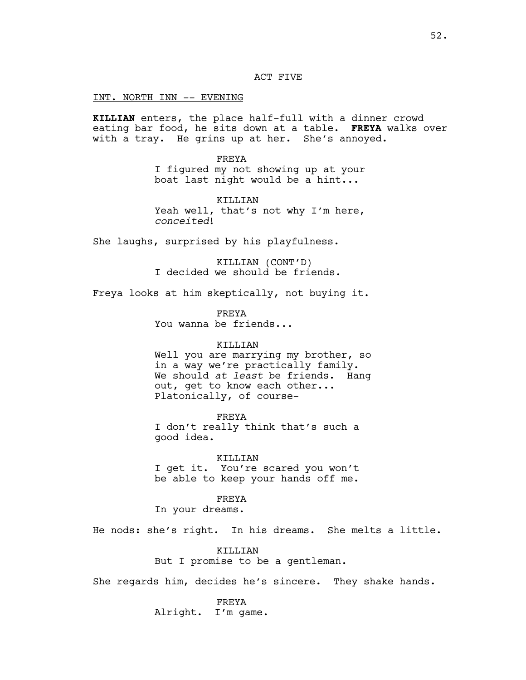ACT FIVE

INT. NORTH INN -- EVENING

**KILLIAN** enters, the place half-full with a dinner crowd eating bar food, he sits down at a table. **FREYA** walks over with a tray. He grins up at her. She's annoyed.

> FREYA I figured my not showing up at your boat last night would be a hint...

> KILLIAN Yeah well, that's not why I'm here, *conceited*!

She laughs, surprised by his playfulness.

KILLIAN (CONT'D) I decided we should be friends.

Freya looks at him skeptically, not buying it.

FREYA You wanna be friends...

# KILLIAN

Well you are marrying my brother, so in a way we're practically family. We should *at least* be friends. Hang out, get to know each other... Platonically, of course-

FREYA I don't really think that's such a good idea.

KILLIAN I get it. You're scared you won't be able to keep your hands off me.

FREYA

In your dreams.

He nods: she's right. In his dreams. She melts a little.

KILLIAN But I promise to be a gentleman.

She regards him, decides he's sincere. They shake hands.

FREYA Alright. I'm game.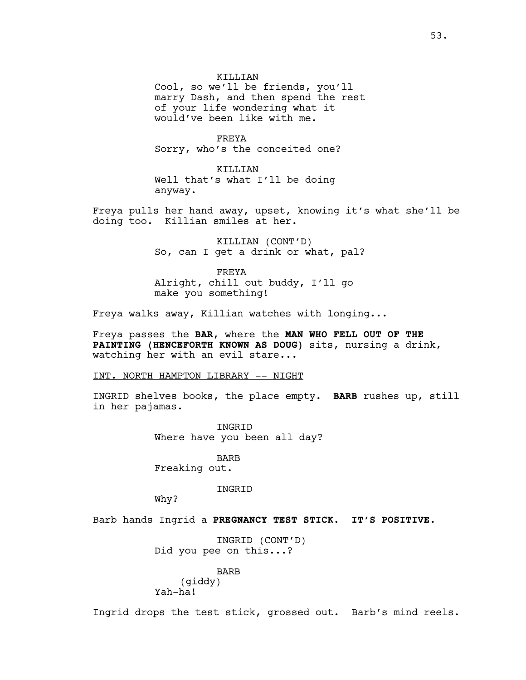KILLIAN Cool, so we'll be friends, you'll marry Dash, and then spend the rest of your life wondering what it would've been like with me.

FREYA Sorry, who's the conceited one?

KILLIAN Well that's what I'll be doing anyway.

Freya pulls her hand away, upset, knowing it's what she'll be doing too. Killian smiles at her.

> KILLIAN (CONT'D) So, can I get a drink or what, pal?

FREYA Alright, chill out buddy, I'll go make you something!

Freya walks away, Killian watches with longing...

Freya passes the **BAR**, where the **MAN WHO FELL OUT OF THE PAINTING (HENCEFORTH KNOWN AS DOUG)** sits, nursing a drink, watching her with an evil stare...

INT. NORTH HAMPTON LIBRARY -- NIGHT

INGRID shelves books, the place empty. **BARB** rushes up, still in her pajamas.

> **INGRID** Where have you been all day?

BARB Freaking out.

INGRID

Why?

Barb hands Ingrid a **PREGNANCY TEST STICK. IT'S POSITIVE.**

INGRID (CONT'D) Did you pee on this...?

BARB

(giddy) Yah-ha!

Ingrid drops the test stick, grossed out. Barb's mind reels.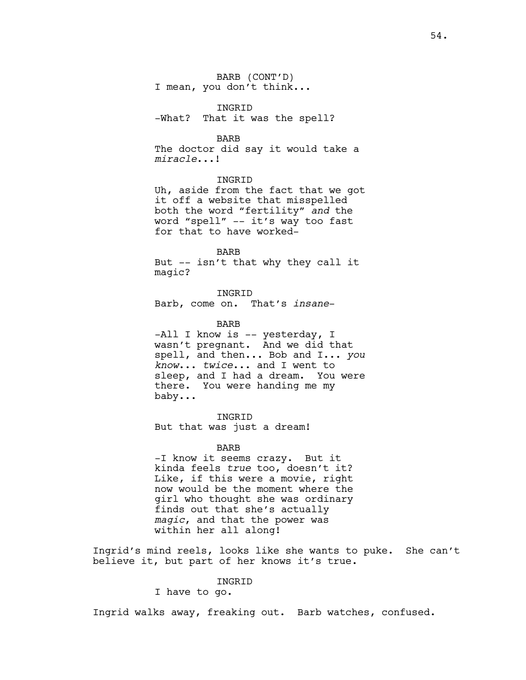BARB (CONT'D) I mean, you don't think...

INGRID -What? That it was the spell?

BARB

The doctor did say it would take a *miracle*...!

INGRID

Uh, aside from the fact that we got it off a website that misspelled both the word "fertility" *and* the word "spell" -- it's way too fast for that to have worked-

BARB But -- isn't that why they call it magic?

INGRID Barb, come on. That's *insane*-

BARB -All I know is -- yesterday, I wasn't pregnant. And we did that spell, and then... Bob and I... *you know*... *twice*... and I went to sleep, and I had a dream. You were there. You were handing me my baby...

INGRID But that was just a dream!

BARB

-I know it seems crazy. But it kinda feels *true* too, doesn't it? Like, if this were a movie, right now would be the moment where the girl who thought she was ordinary finds out that she's actually *magic*, and that the power was within her all along!

Ingrid's mind reels, looks like she wants to puke. She can't believe it, but part of her knows it's true.

### INGRID

I have to go.

Ingrid walks away, freaking out. Barb watches, confused.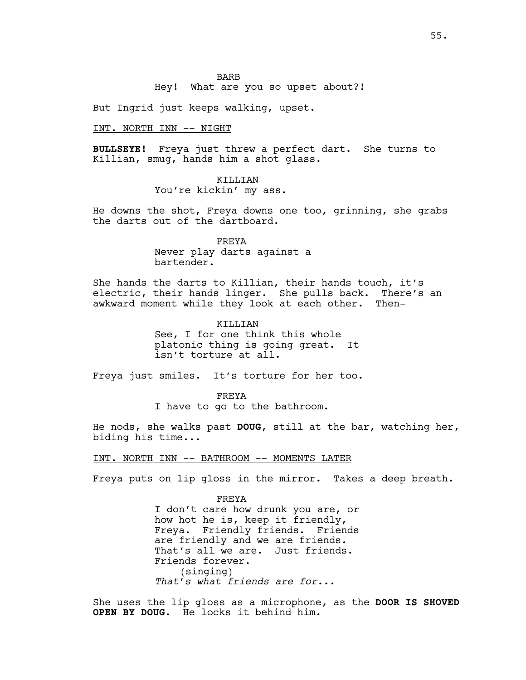Hey! What are you so upset about?!

But Ingrid just keeps walking, upset.

INT. NORTH INN -- NIGHT

**BULLSEYE!** Freya just threw a perfect dart. She turns to Killian, smug, hands him a shot glass.

# KILLIAN

You're kickin' my ass.

He downs the shot, Freya downs one too, grinning, she grabs the darts out of the dartboard.

> FREYA Never play darts against a bartender.

She hands the darts to Killian, their hands touch, it's electric, their hands linger. She pulls back. There's an awkward moment while they look at each other. Then-

> KILLIAN See, I for one think this whole platonic thing is going great. It isn't torture at all.

Freya just smiles. It's torture for her too.

FREYA I have to go to the bathroom.

He nods, she walks past **DOUG**, still at the bar, watching her, biding his time...

# INT. NORTH INN -- BATHROOM -- MOMENTS LATER

Freya puts on lip gloss in the mirror. Takes a deep breath.

FREYA I don't care how drunk you are, or how hot he is, keep it friendly, Freya. Friendly friends. Friends are friendly and we are friends. That's all we are. Just friends. Friends forever. (singing) *That's what friends are for...* 

She uses the lip gloss as a microphone, as the **DOOR IS SHOVED OPEN BY DOUG**. He locks it behind him.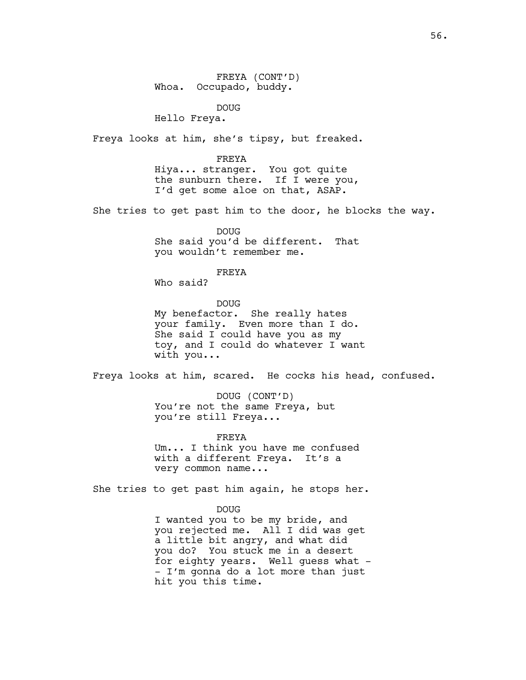FREYA (CONT'D) Whoa. Occupado, buddy.

DOUG

Hello Freya.

Freya looks at him, she's tipsy, but freaked.

FREYA Hiya... stranger. You got quite the sunburn there. If I were you, I'd get some aloe on that, ASAP.

She tries to get past him to the door, he blocks the way.

DOUG She said you'd be different. That you wouldn't remember me.

FREYA

Who said?

DOUG My benefactor. She really hates your family. Even more than I do. She said I could have you as my toy, and I could do whatever I want with you...

Freya looks at him, scared. He cocks his head, confused.

DOUG (CONT'D) You're not the same Freya, but you're still Freya...

FREYA

Um... I think you have me confused with a different Freya. It's a very common name...

She tries to get past him again, he stops her.

hit you this time.

DOUG I wanted you to be my bride, and you rejected me. All I did was get a little bit angry, and what did you do? You stuck me in a desert for eighty years. Well guess what -- I'm gonna do a lot more than just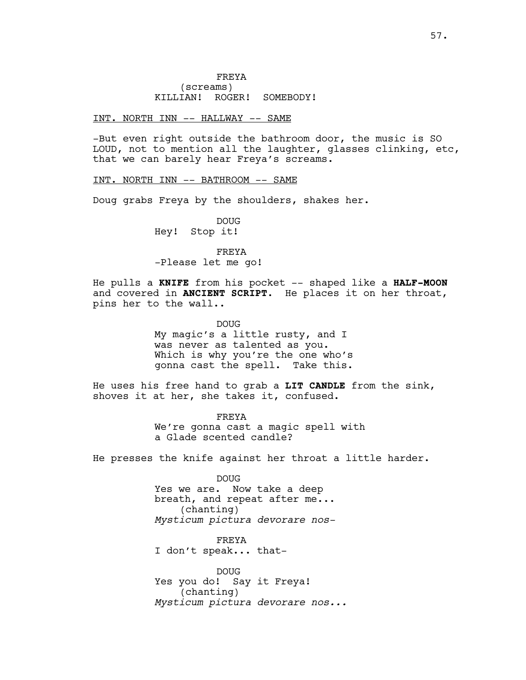# INT. NORTH INN -- HALLWAY -- SAME

-But even right outside the bathroom door, the music is SO LOUD, not to mention all the laughter, glasses clinking, etc, that we can barely hear Freya's screams.

INT. NORTH INN -- BATHROOM -- SAME

Doug grabs Freya by the shoulders, shakes her.

DOUG Hey! Stop it!

FREYA

-Please let me go!

He pulls a **KNIFE** from his pocket -- shaped like a **HALF-MOON** and covered in **ANCIENT SCRIPT**. He places it on her throat, pins her to the wall..

DOUG

My magic's a little rusty, and I was never as talented as you. Which is why you're the one who's gonna cast the spell. Take this.

He uses his free hand to grab a **LIT CANDLE** from the sink, shoves it at her, she takes it, confused.

> FREYA We're gonna cast a magic spell with a Glade scented candle?

He presses the knife against her throat a little harder.

DOUG Yes we are. Now take a deep breath, and repeat after me... (chanting) *Mysticum pictura devorare nos-*

FREYA I don't speak... that-

DOUG Yes you do! Say it Freya! (chanting) *Mysticum pictura devorare nos...*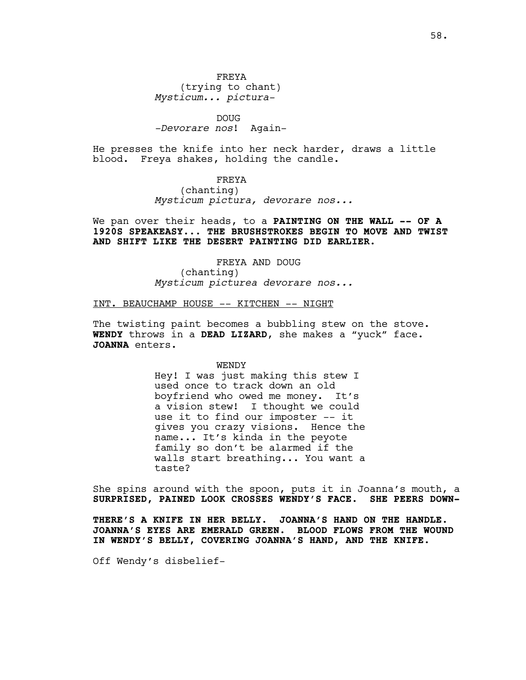DOUG *-Devorare nos*! Again-

He presses the knife into her neck harder, draws a little blood. Freya shakes, holding the candle.

> FREYA (chanting) *Mysticum pictura, devorare nos...*

We pan over their heads, to a **PAINTING ON THE WALL -- OF A 1920S SPEAKEASY... THE BRUSHSTROKES BEGIN TO MOVE AND TWIST AND SHIFT LIKE THE DESERT PAINTING DID EARLIER.**

> FREYA AND DOUG (chanting) *Mysticum picturea devorare nos...*

# INT. BEAUCHAMP HOUSE -- KITCHEN -- NIGHT

The twisting paint becomes a bubbling stew on the stove. **WENDY** throws in a **DEAD LIZARD**, she makes a "yuck" face. JOANNA enters.

WENDY

Hey! I was just making this stew I used once to track down an old boyfriend who owed me money. It's a vision stew! I thought we could use it to find our imposter -- it gives you crazy visions. Hence the name... It's kinda in the peyote family so don't be alarmed if the walls start breathing... You want a taste?

She spins around with the spoon, puts it in Joanna's mouth, a **SURPRISED, PAINED LOOK CROSSES WENDY'S FACE. SHE PEERS DOWN-**

**THERE'S A KNIFE IN HER BELLY. JOANNA'S HAND ON THE HANDLE. JOANNA'S EYES ARE EMERALD GREEN. BLOOD FLOWS FROM THE WOUND IN WENDY'S BELLY, COVERING JOANNA'S HAND, AND THE KNIFE.** 

Off Wendy's disbelief-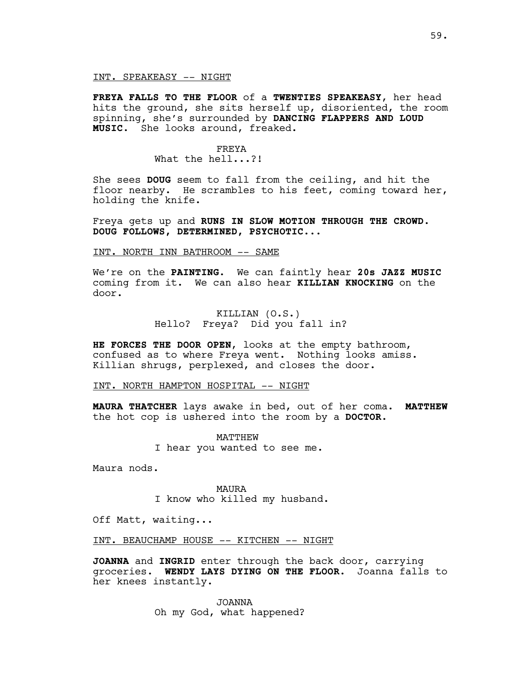### INT. SPEAKEASY -- NIGHT

**FREYA FALLS TO THE FLOOR** of a **TWENTIES SPEAKEASY**, her head hits the ground, she sits herself up, disoriented, the room spinning, she's surrounded by **DANCING FLAPPERS AND LOUD MUSIC**. She looks around, freaked.

# FREYA

What the hell...?!

She sees **DOUG** seem to fall from the ceiling, and hit the floor nearby. He scrambles to his feet, coming toward her, holding the knife.

Freya gets up and **RUNS IN SLOW MOTION THROUGH THE CROWD. DOUG FOLLOWS, DETERMINED, PSYCHOTIC...**

# INT. NORTH INN BATHROOM -- SAME

We're on the **PAINTING**. We can faintly hear **20s JAZZ MUSIC**  coming from it. We can also hear **KILLIAN KNOCKING** on the door.

# KILLIAN (O.S.) Hello? Freya? Did you fall in?

**HE FORCES THE DOOR OPEN**, looks at the empty bathroom, confused as to where Freya went. Nothing looks amiss. Killian shrugs, perplexed, and closes the door.

# INT. NORTH HAMPTON HOSPITAL -- NIGHT

**MAURA THATCHER** lays awake in bed, out of her coma. **MATTHEW** the hot cop is ushered into the room by a **DOCTOR**.

> MATTHEW I hear you wanted to see me.

Maura nods.

MAURA I know who killed my husband.

Off Matt, waiting...

INT. BEAUCHAMP HOUSE -- KITCHEN -- NIGHT

**JOANNA** and **INGRID** enter through the back door, carrying groceries. **WENDY LAYS DYING ON THE FLOOR.** Joanna falls to her knees instantly.

> JOANNA Oh my God, what happened?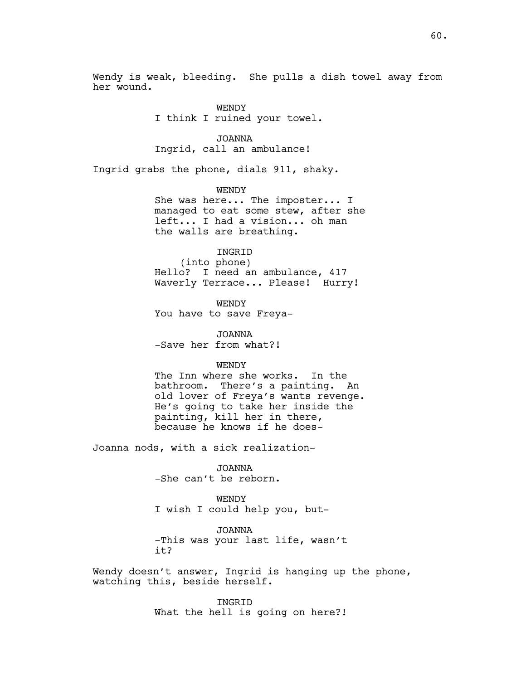Wendy is weak, bleeding. She pulls a dish towel away from her wound.

> WENDY I think I ruined your towel.

JOANNA Ingrid, call an ambulance!

Ingrid grabs the phone, dials 911, shaky.

WENDY She was here... The imposter... I managed to eat some stew, after she left... I had a vision... oh man the walls are breathing.

INGRID

(into phone) Hello? I need an ambulance, 417 Waverly Terrace... Please! Hurry!

WENDY You have to save Freya-

JOANNA -Save her from what?!

WENDY

The Inn where she works. In the bathroom. There's a painting. An old lover of Freya's wants revenge. He's going to take her inside the painting, kill her in there, because he knows if he does-

Joanna nods, with a sick realization-

JOANNA -She can't be reborn.

WENDY I wish I could help you, but-

JOANNA -This was your last life, wasn't it?

Wendy doesn't answer, Ingrid is hanging up the phone, watching this, beside herself.

> INGRID What the hell is going on here?!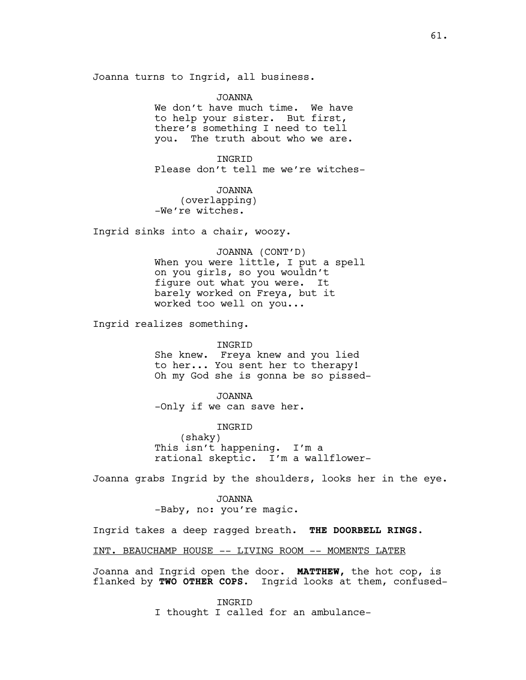Joanna turns to Ingrid, all business.

JOANNA We don't have much time. We have to help your sister. But first, there's something I need to tell you. The truth about who we are.

**INGRID** Please don't tell me we're witches-

JOANNA (overlapping) -We're witches.

Ingrid sinks into a chair, woozy.

JOANNA (CONT'D) When you were little, I put a spell on you girls, so you wouldn't figure out what you were. It barely worked on Freya, but it worked too well on you...

Ingrid realizes something.

#### INGRID

She knew. Freya knew and you lied to her... You sent her to therapy! Oh my God she is gonna be so pissed-

JOANNA -Only if we can save her.

INGRID (shaky) This isn't happening. I'm a rational skeptic. I'm a wallflower-

Joanna grabs Ingrid by the shoulders, looks her in the eye.

JOANNA -Baby, no: you're magic.

Ingrid takes a deep ragged breath. **THE DOORBELL RINGS.**

INT. BEAUCHAMP HOUSE -- LIVING ROOM -- MOMENTS LATER

Joanna and Ingrid open the door. **MATTHEW,** the hot cop, is flanked by **TWO OTHER COPS**. Ingrid looks at them, confused-

> INGRID I thought I called for an ambulance